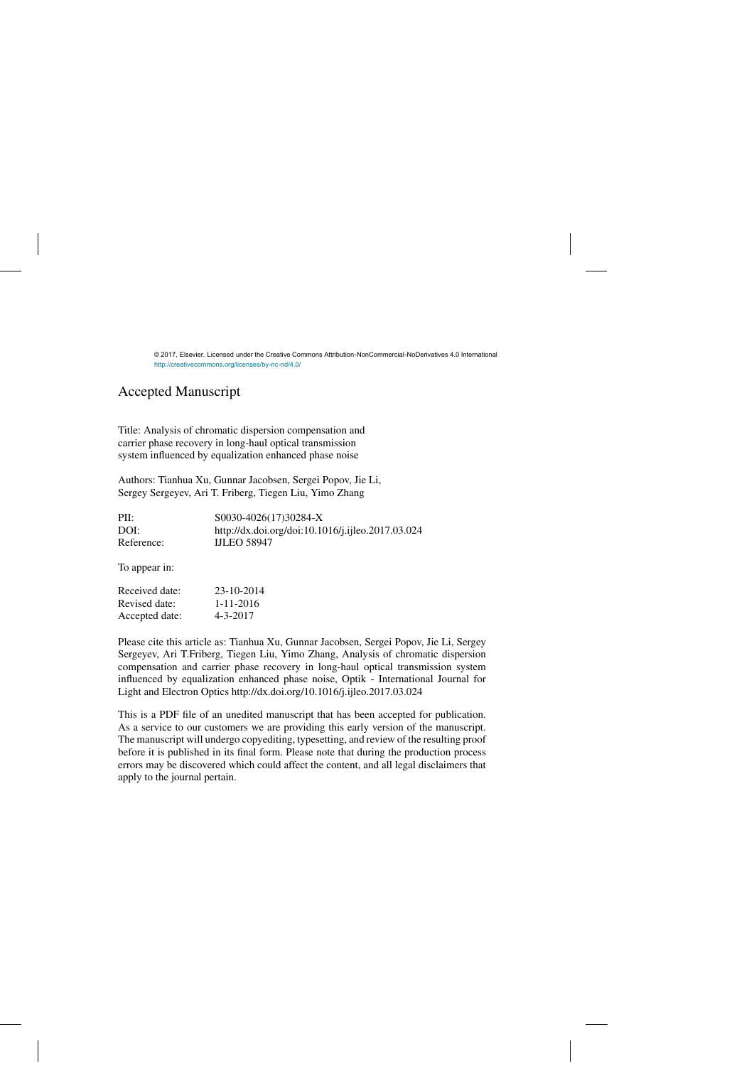## Accepted Manuscript

Title: Analysis of chromatic dispersion compensation and carrier phase recovery in long-haul optical transmission system influenced by equalization enhanced phase noise

Authors: Tianhua Xu, Gunnar Jacobsen, Sergei Popov, Jie Li, Sergey Sergeyev, Ari T. Friberg, Tiegen Liu, Yimo Zhang

| PII:       | S0030-4026(17)30284-X<br>http://dx.doi.org/doi:10.1016/j.ijleo.2017.03.024 |  |
|------------|----------------------------------------------------------------------------|--|
| DOI:       |                                                                            |  |
| Reference: | <b>IJLEO 58947</b>                                                         |  |
|            |                                                                            |  |

To appear in:

| 23-10-2014      |
|-----------------|
| $1 - 11 - 2016$ |
| $4 - 3 - 2017$  |
|                 |

Please cite this article as: Tianhua Xu, Gunnar Jacobsen, Sergei Popov, Jie Li, Sergey Sergeyev, Ari T.Friberg, Tiegen Liu, Yimo Zhang, Analysis of chromatic dispersion compensation and carrier phase recovery in long-haul optical transmission system influenced by equalization enhanced phase noise, Optik - International Journal for Light and Electron Optics<http://dx.doi.org/10.1016/j.ijleo.2017.03.024>

This is a PDF file of an unedited manuscript that has been accepted for publication. As a service to our customers we are providing this early version of the manuscript. The manuscript will undergo copyediting, typesetting, and review of the resulting proof before it is published in its final form. Please note that during the production process errors may be discovered which could affect the content, and all legal disclaimers that apply to the journal pertain.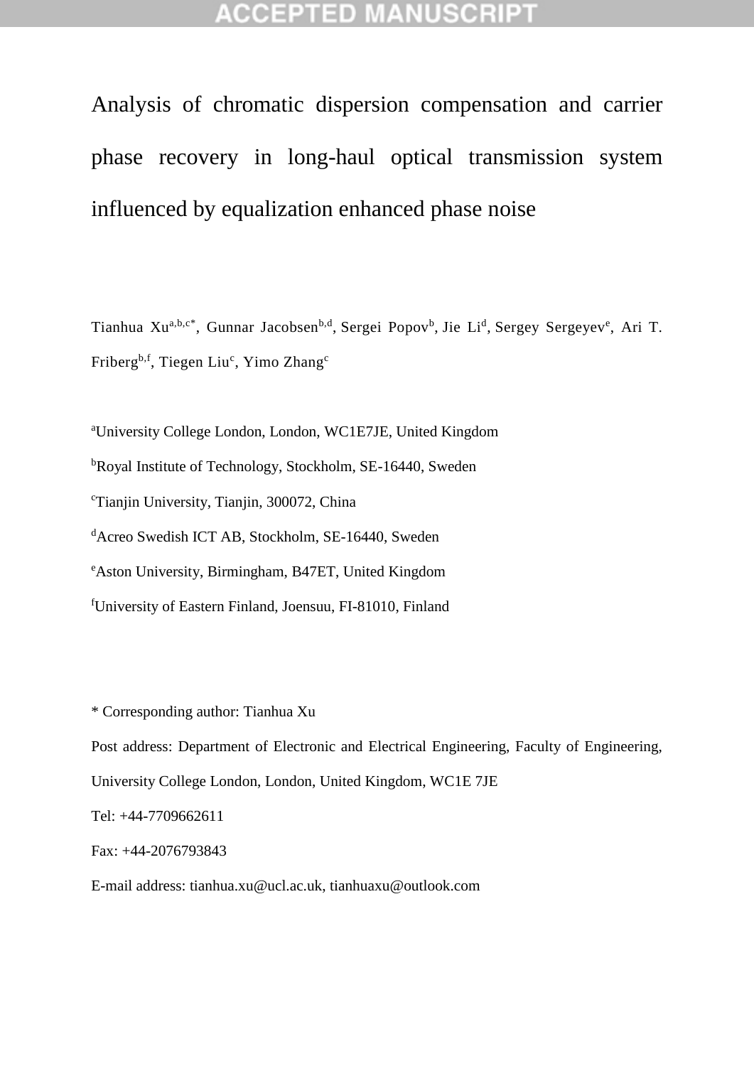## **CCEPTED MANUSCR**

Analysis of chromatic dispersion compensation and carrier phase recovery in long-haul optical transmission system influenced by equalization enhanced phase noise

Tianhua Xu<sup>a,b,c\*</sup>, Gunnar Jacobsen<sup>b,d</sup>, Sergei Popov<sup>b</sup>, Jie Li<sup>d</sup>, Sergey Sergeyev<sup>e</sup>, Ari T. Friberg<sup>b,f</sup>, Tiegen Liu<sup>c</sup>, Yimo Zhang<sup>c</sup>

<sup>a</sup>University College London, London, WC1E7JE, United Kingdom <sup>b</sup>Royal Institute of Technology, Stockholm, SE-16440, Sweden <sup>c</sup>Tianjin University, Tianjin, 300072, China <sup>d</sup>Acreo Swedish ICT AB, Stockholm, SE-16440, Sweden <sup>e</sup>Aston University, Birmingham, B47ET, United Kingdom <sup>f</sup>University of Eastern Finland, Joensuu, FI-81010, Finland

\* Corresponding author: Tianhua Xu

Post address: Department of Electronic and Electrical Engineering, Faculty of Engineering, University College London, London, United Kingdom, WC1E 7JE

Tel: +44-7709662611

Fax: +44-2076793843

E-mail address: tianhua.xu@ucl.ac.uk, tianhuaxu@outlook.com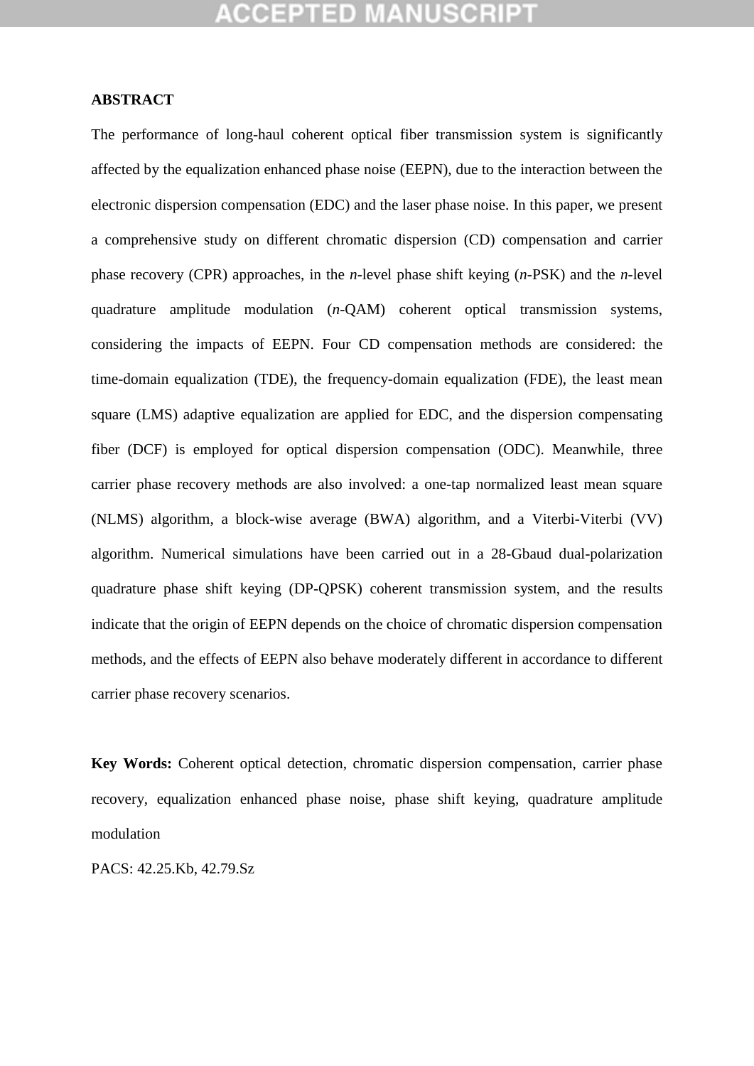## **ABSTRACT**

The performance of long-haul coherent optical fiber transmission system is significantly affected by the equalization enhanced phase noise (EEPN), due to the interaction between the electronic dispersion compensation (EDC) and the laser phase noise. In this paper, we present a comprehensive study on different chromatic dispersion (CD) compensation and carrier phase recovery (CPR) approaches, in the *n*-level phase shift keying (*n*-PSK) and the *n*-level quadrature amplitude modulation (*n*-QAM) coherent optical transmission systems, considering the impacts of EEPN. Four CD compensation methods are considered: the time-domain equalization (TDE), the frequency-domain equalization (FDE), the least mean square (LMS) adaptive equalization are applied for EDC, and the dispersion compensating fiber (DCF) is employed for optical dispersion compensation (ODC). Meanwhile, three carrier phase recovery methods are also involved: a one-tap normalized least mean square (NLMS) algorithm, a block-wise average (BWA) algorithm, and a Viterbi-Viterbi (VV) algorithm. Numerical simulations have been carried out in a 28-Gbaud dual-polarization quadrature phase shift keying (DP-QPSK) coherent transmission system, and the results indicate that the origin of EEPN depends on the choice of chromatic dispersion compensation methods, and the effects of EEPN also behave moderately different in accordance to different carrier phase recovery scenarios.

**Key Words:** Coherent optical detection, chromatic dispersion compensation, carrier phase recovery, equalization enhanced phase noise, phase shift keying, quadrature amplitude modulation

PACS: 42.25.Kb, 42.79.Sz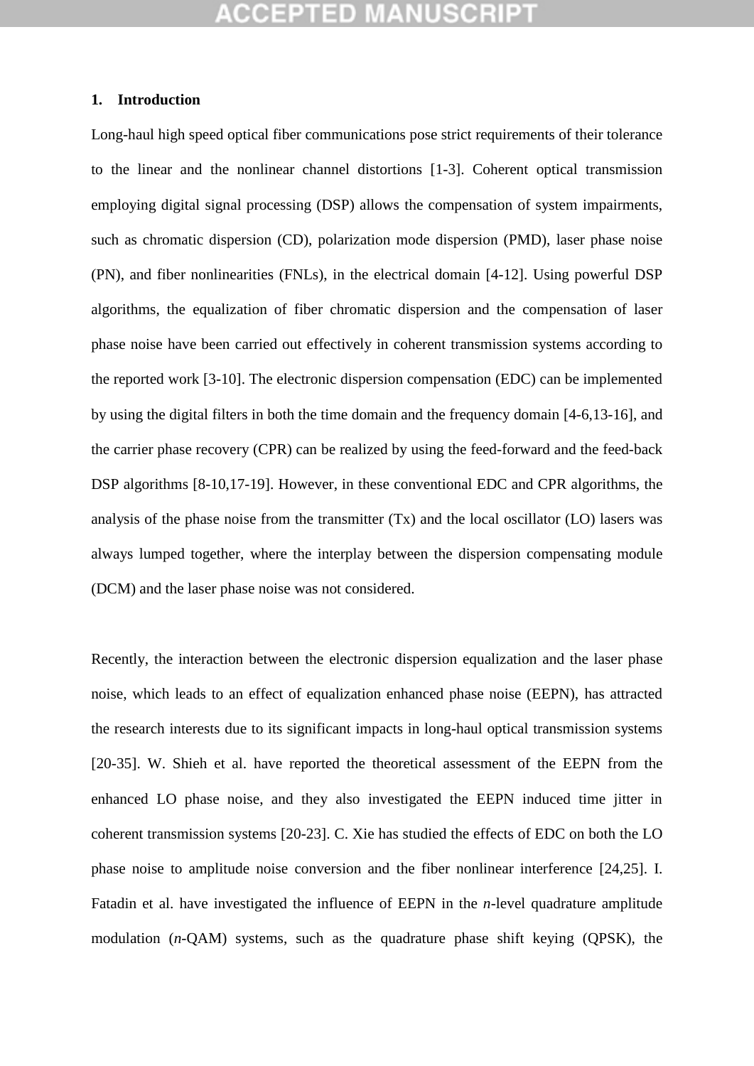### **1. Introduction**

Long-haul high speed optical fiber communications pose strict requirements of their tolerance to the linear and the nonlinear channel distortions [1-3]. Coherent optical transmission employing digital signal processing (DSP) allows the compensation of system impairments, such as chromatic dispersion (CD), polarization mode dispersion (PMD), laser phase noise (PN), and fiber nonlinearities (FNLs), in the electrical domain [4-12]. Using powerful DSP algorithms, the equalization of fiber chromatic dispersion and the compensation of laser phase noise have been carried out effectively in coherent transmission systems according to the reported work [3-10]. The electronic dispersion compensation (EDC) can be implemented by using the digital filters in both the time domain and the frequency domain [4-6,13-16], and the carrier phase recovery (CPR) can be realized by using the feed-forward and the feed-back DSP algorithms [8-10,17-19]. However, in these conventional EDC and CPR algorithms, the analysis of the phase noise from the transmitter (Tx) and the local oscillator (LO) lasers was always lumped together, where the interplay between the dispersion compensating module (DCM) and the laser phase noise was not considered.

Recently, the interaction between the electronic dispersion equalization and the laser phase noise, which leads to an effect of equalization enhanced phase noise (EEPN), has attracted the research interests due to its significant impacts in long-haul optical transmission systems [20-35]. W. Shieh et al. have reported the theoretical assessment of the EEPN from the enhanced LO phase noise, and they also investigated the EEPN induced time jitter in coherent transmission systems [20-23]. C. Xie has studied the effects of EDC on both the LO phase noise to amplitude noise conversion and the fiber nonlinear interference [24,25]. I. Fatadin et al. have investigated the influence of EEPN in the *n*-level quadrature amplitude modulation (*n*-QAM) systems, such as the quadrature phase shift keying (QPSK), the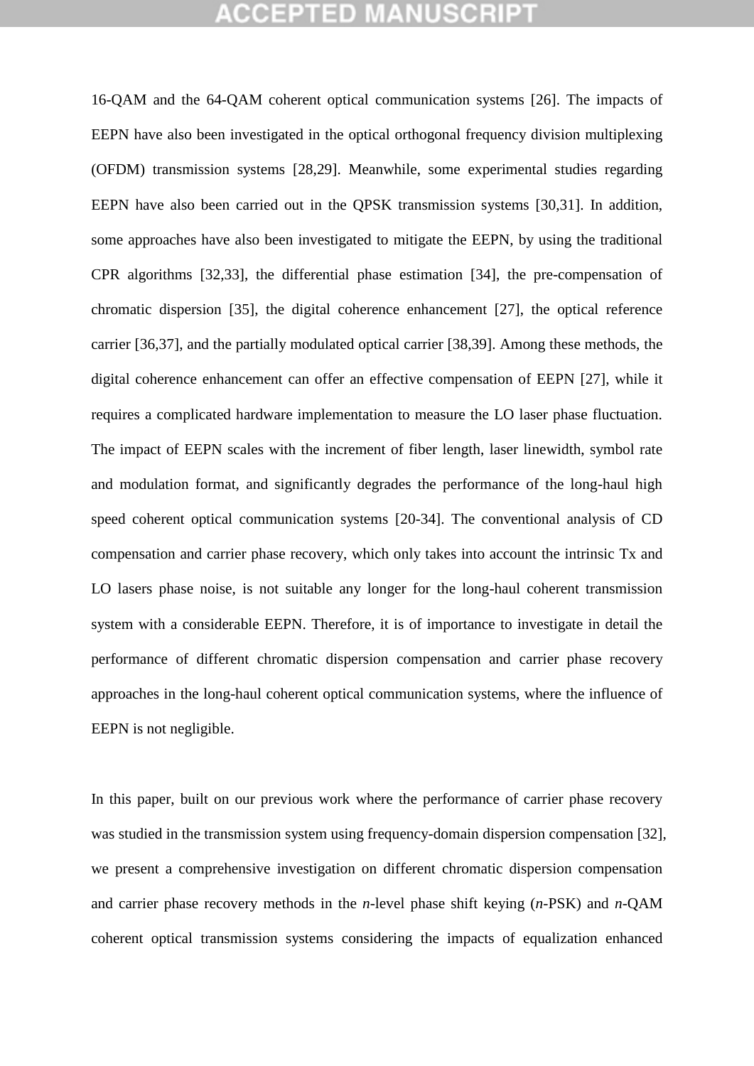16-QAM and the 64-QAM coherent optical communication systems [26]. The impacts of EEPN have also been investigated in the optical orthogonal frequency division multiplexing (OFDM) transmission systems [28,29]. Meanwhile, some experimental studies regarding EEPN have also been carried out in the QPSK transmission systems [30,31]. In addition, some approaches have also been investigated to mitigate the EEPN, by using the traditional CPR algorithms [32,33], the differential phase estimation [34], the pre-compensation of chromatic dispersion [35], the digital coherence enhancement [27], the optical reference carrier [36,37], and the partially modulated optical carrier [38,39]. Among these methods, the digital coherence enhancement can offer an effective compensation of EEPN [27], while it requires a complicated hardware implementation to measure the LO laser phase fluctuation. The impact of EEPN scales with the increment of fiber length, laser linewidth, symbol rate and modulation format, and significantly degrades the performance of the long-haul high speed coherent optical communication systems [20-34]. The conventional analysis of CD compensation and carrier phase recovery, which only takes into account the intrinsic Tx and LO lasers phase noise, is not suitable any longer for the long-haul coherent transmission system with a considerable EEPN. Therefore, it is of importance to investigate in detail the performance of different chromatic dispersion compensation and carrier phase recovery approaches in the long-haul coherent optical communication systems, where the influence of EEPN is not negligible.

In this paper, built on our previous work where the performance of carrier phase recovery was studied in the transmission system using frequency-domain dispersion compensation [32], we present a comprehensive investigation on different chromatic dispersion compensation and carrier phase recovery methods in the *n*-level phase shift keying (*n*-PSK) and *n*-QAM coherent optical transmission systems considering the impacts of equalization enhanced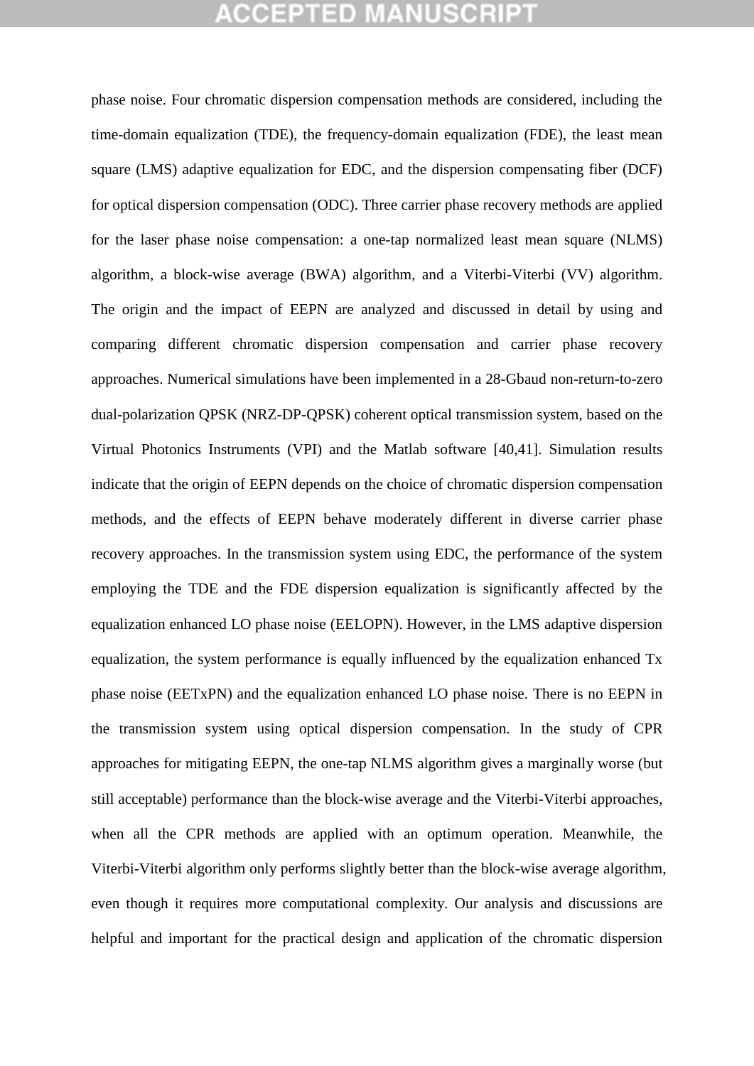phase noise. Four chromatic dispersion compensation methods are considered, including the time-domain equalization (TDE), the frequency-domain equalization (FDE), the least mean square (LMS) adaptive equalization for EDC, and the dispersion compensating fiber (DCF) for optical dispersion compensation (ODC). Three carrier phase recovery methods are applied for the laser phase noise compensation: a one-tap normalized least mean square (NLMS) algorithm, a block-wise average (BWA) algorithm, and a Viterbi-Viterbi (VV) algorithm. The origin and the impact of EEPN are analyzed and discussed in detail by using and comparing different chromatic dispersion compensation and carrier phase recovery approaches. Numerical simulations have been implemented in a 28-Gbaud non-return-to-zero dual-polarization QPSK (NRZ-DP-QPSK) coherent optical transmission system, based on the Virtual Photonics Instruments (VPI) and the Matlab software [40,41]. Simulation results indicate that the origin of EEPN depends on the choice of chromatic dispersion compensation methods, and the effects of EEPN behave moderately different in diverse carrier phase recovery approaches. In the transmission system using EDC, the performance of the system employing the TDE and the FDE dispersion equalization is significantly affected by the equalization enhanced LO phase noise (EELOPN). However, in the LMS adaptive dispersion equalization, the system performance is equally influenced by the equalization enhanced Tx phase noise (EETxPN) and the equalization enhanced LO phase noise. There is no EEPN in the transmission system using optical dispersion compensation. In the study of CPR approaches for mitigating EEPN, the one-tap NLMS algorithm gives a marginally worse (but still acceptable) performance than the block-wise average and the Viterbi-Viterbi approaches, when all the CPR methods are applied with an optimum operation. Meanwhile, the Viterbi-Viterbi algorithm only performs slightly better than the block-wise average algorithm, even though it requires more computational complexity. Our analysis and discussions are helpful and important for the practical design and application of the chromatic dispersion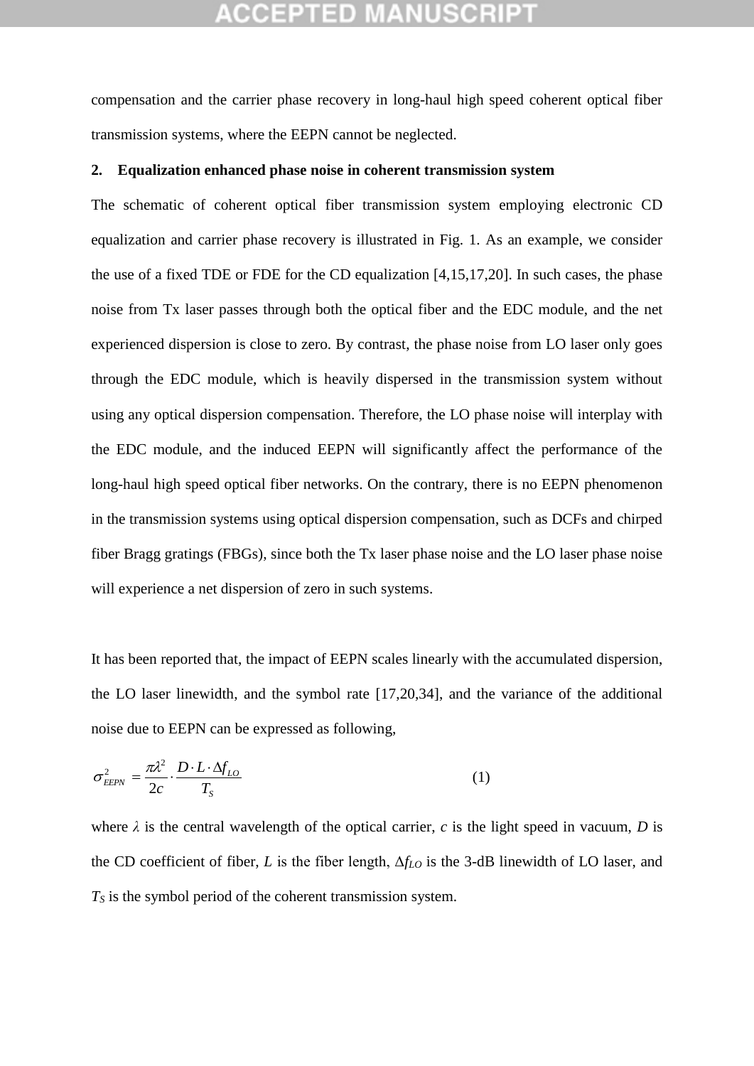compensation and the carrier phase recovery in long-haul high speed coherent optical fiber transmission systems, where the EEPN cannot be neglected.

### **2. Equalization enhanced phase noise in coherent transmission system**

The schematic of coherent optical fiber transmission system employing electronic CD equalization and carrier phase recovery is illustrated in Fig. 1. As an example, we consider the use of a fixed TDE or FDE for the CD equalization [4,15,17,20]. In such cases, the phase noise from Tx laser passes through both the optical fiber and the EDC module, and the net experienced dispersion is close to zero. By contrast, the phase noise from LO laser only goes through the EDC module, which is heavily dispersed in the transmission system without using any optical dispersion compensation. Therefore, the LO phase noise will interplay with the EDC module, and the induced EEPN will significantly affect the performance of the long-haul high speed optical fiber networks. On the contrary, there is no EEPN phenomenon in the transmission systems using optical dispersion compensation, such as DCFs and chirped fiber Bragg gratings (FBGs), since both the Tx laser phase noise and the LO laser phase noise will experience a net dispersion of zero in such systems.

It has been reported that, the impact of EEPN scales linearly with the accumulated dispersion, the LO laser linewidth, and the symbol rate [17,20,34], and the variance of the additional noise due to EEPN can be expressed as following,

$$
\sigma_{EEPN}^2 = \frac{\pi \lambda^2}{2c} \cdot \frac{D \cdot L \cdot \Delta f_{LO}}{T_s}
$$
 (1)

where  $\lambda$  is the central wavelength of the optical carrier,  $c$  is the light speed in vacuum,  $D$  is the CD coefficient of fiber, *L* is the fiber length, Δ*fLO* is the 3-dB linewidth of LO laser, and *T<sup>S</sup>* is the symbol period of the coherent transmission system.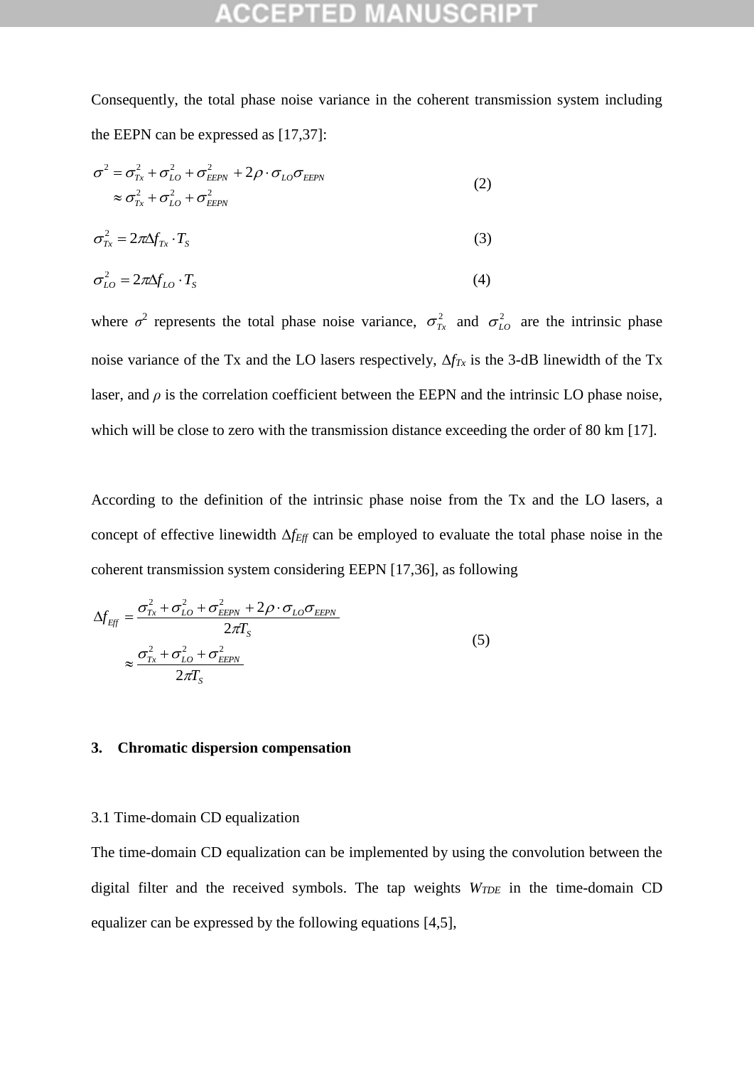Consequently, the total phase noise variance in the coherent transmission system including the EEPN can be expressed as [17,37]:

$$
\sigma^2 = \sigma_{Tx}^2 + \sigma_{LO}^2 + \sigma_{EEPN}^2 + 2\rho \cdot \sigma_{LO}\sigma_{EEPN}
$$
  
\n
$$
\approx \sigma_{Tx}^2 + \sigma_{LO}^2 + \sigma_{EEPN}^2
$$
\n(2)

$$
\sigma_{Tx}^2 = 2\pi\Delta f_{Tx} \cdot T_s \tag{3}
$$

$$
\sigma_{LO}^2 = 2\pi \Delta f_{LO} \cdot T_s \tag{4}
$$

where  $\sigma^2$  represents the total phase noise variance,  $\sigma_{Tx}^2$  and  $\sigma_{LO}^2$  are the intrinsic phase noise variance of the Tx and the LO lasers respectively, Δ*fTx* is the 3-dB linewidth of the Tx laser, and  $\rho$  is the correlation coefficient between the EEPN and the intrinsic LO phase noise, which will be close to zero with the transmission distance exceeding the order of 80 km [17].

According to the definition of the intrinsic phase noise from the Tx and the LO lasers, a concept of effective linewidth Δ*fEff* can be employed to evaluate the total phase noise in the coherent transmission system considering EEPN [17,36], as following

$$
\Delta f_{Eff} = \frac{\sigma_{Tx}^2 + \sigma_{LO}^2 + \sigma_{EEPN}^2 + 2\rho \cdot \sigma_{LO}\sigma_{EEPN}}{2\pi T_S}
$$
\n
$$
\approx \frac{\sigma_{Tx}^2 + \sigma_{LO}^2 + \sigma_{EEPN}^2}{2\pi T_S}
$$
\n(5)

## **3. Chromatic dispersion compensation**

### 3.1 Time-domain CD equalization

The time-domain CD equalization can be implemented by using the convolution between the digital filter and the received symbols. The tap weights *WTDE* in the time-domain CD equalizer can be expressed by the following equations [4,5],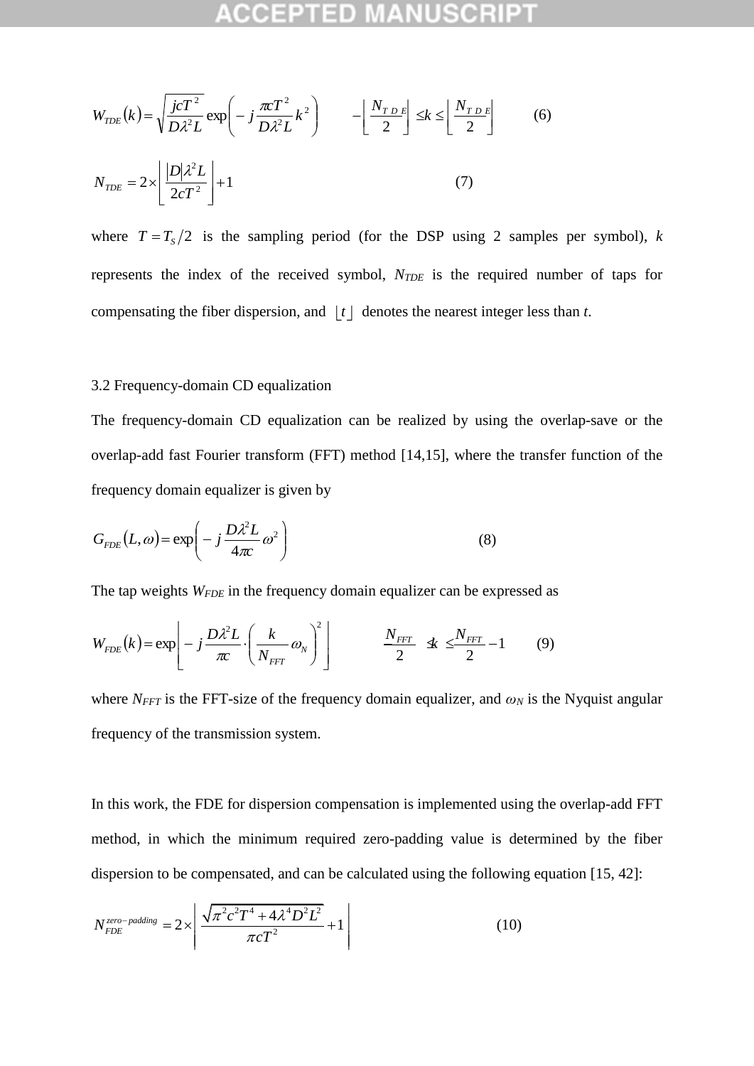$$
W_{TDE}(k) = \sqrt{\frac{j c T^2}{D \lambda^2 L}} \exp\left(-j \frac{\pi c T^2}{D \lambda^2 L} k^2\right) \qquad -\left\lfloor \frac{N_{TDE}}{2} \right\rfloor \le k \le \left\lfloor \frac{N_{TDE}}{2} \right\rfloor \tag{6}
$$

$$
N_{TDE} = 2 \times \left\lfloor \frac{|D|\lambda^2 L}{2 c T^2} \right\rfloor + 1 \tag{7}
$$

where  $T = T_s/2$  is the sampling period (for the DSP using 2 samples per symbol), *k* represents the index of the received symbol, *NTDE* is the required number of taps for compensating the fiber dispersion, and  $\lfloor t \rfloor$  denotes the nearest integer less than *t*.

## 3.2 Frequency-domain CD equalization

The frequency-domain CD equalization can be realized by using the overlap-save or the overlap-add fast Fourier transform (FFT) method [14,15], where the transfer function of the frequency domain equalizer is given by

$$
G_{FDE}(L,\omega) = \exp\left(-j\frac{D\lambda^2 L}{4\pi c}\omega^2\right)
$$
 (8)

The tap weights *WFDE* in the frequency domain equalizer can be expressed as

$$
W_{FDE}(k) = \exp\left[-j\frac{D\lambda^2 L}{\pi c} \cdot \left(\frac{k}{N_{FFT}}\omega_N\right)^2\right] \qquad \frac{N_{FFT}}{2} \le \frac{N_{FFT}}{2} - 1 \qquad (9)
$$

where  $N_{FFT}$  is the FFT-size of the frequency domain equalizer, and  $\omega_N$  is the Nyquist angular frequency of the transmission system.

In this work, the FDE for dispersion compensation is implemented using the overlap-add FFT method, in which the minimum required zero-padding value is determined by the fiber dispersion to be compensated, and can be calculated using the following equation [15, 42]:

$$
N_{FDE}^{zero-padding} = 2 \times \left| \frac{\sqrt{\pi^2 c^2 T^4 + 4\lambda^4 D^2 L^2}}{\pi c T^2} + 1 \right| \tag{10}
$$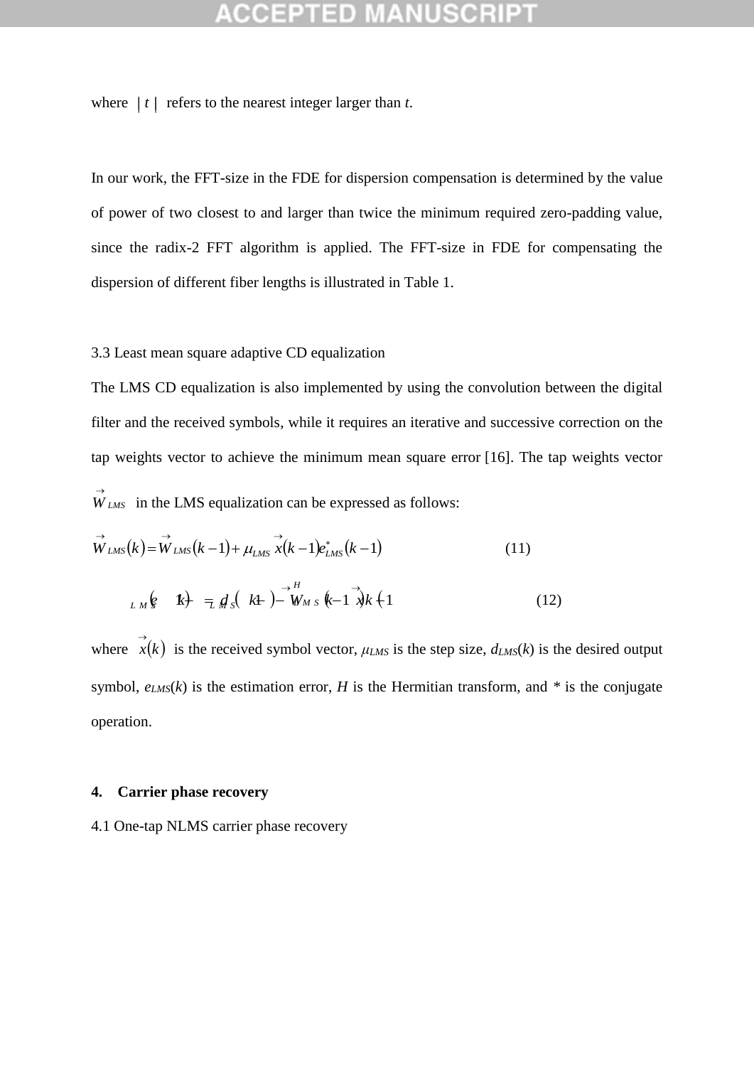where  $|t|$  refers to the nearest integer larger than *t*.

In our work, the FFT-size in the FDE for dispersion compensation is determined by the value of power of two closest to and larger than twice the minimum required zero-padding value, since the radix-2 FFT algorithm is applied. The FFT-size in FDE for compensating the dispersion of different fiber lengths is illustrated in Table 1.

## 3.3 Least mean square adaptive CD equalization

The LMS CD equalization is also implemented by using the convolution between the digital filter and the received symbols, while it requires an iterative and successive correction on the tap weights vector to achieve the minimum mean square error [16]. The tap weights vector

$$
\vec{W}_{LMS} \text{ in the LMS equalization can be expressed as follows:}
$$
\n
$$
\vec{W}_{LMS}(k) = \vec{W}_{LMS}(k-1) + \mu_{LMS} \vec{x}(k-1)e_{LMS}^*(k-1)
$$
\n(11)\n
$$
\vec{W}_{LMS}(k) = \vec{W}_{LMS}(k-1) + \mu_{LMS} \vec{x}(k-1)e_{LMS}^*(k-1)
$$
\n(12)

where  $\vec{x}(k)$  is the received symbol vector,  $\mu_{LMS}$  is the step size,  $d_{LMS}(k)$  is the desired output symbol,  $e_{LMS}(k)$  is the estimation error, *H* is the Hermitian transform, and  $*$  is the conjugate operation.

### **4. Carrier phase recovery**

4.1 One-tap NLMS carrier phase recovery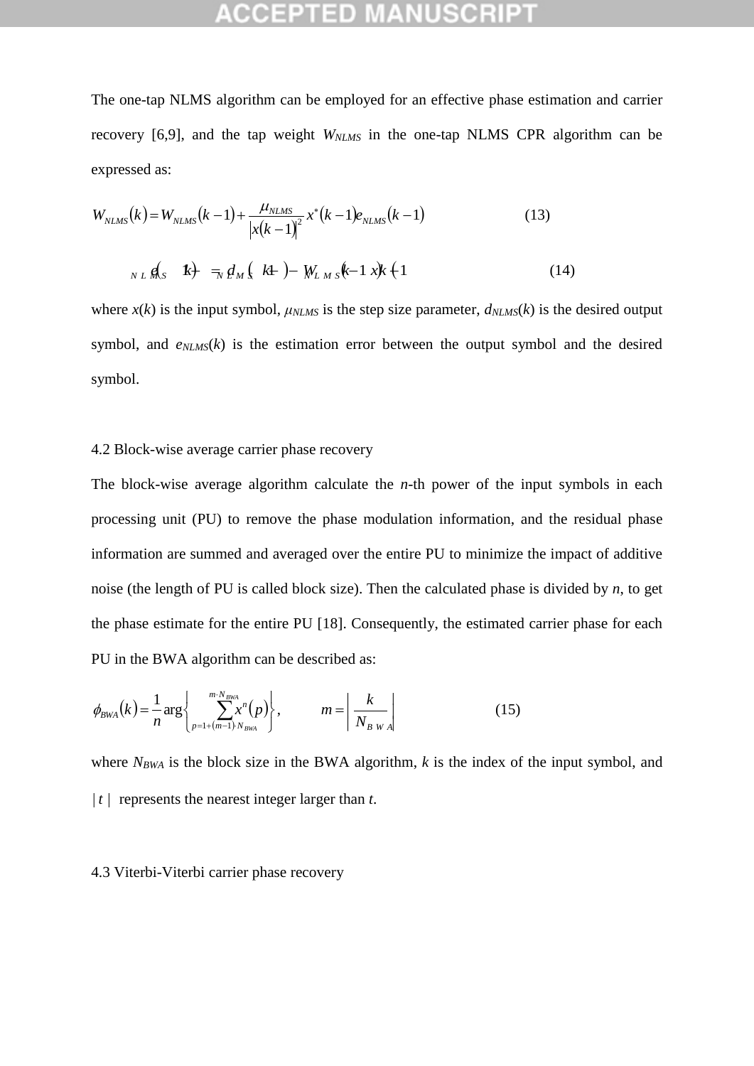The one-tap NLMS algorithm can be employed for an effective phase estimation and carrier recovery [6,9], and the tap weight *WNLMS* in the one-tap NLMS CPR algorithm can be expressed as:

expressed as:  
\n
$$
W_{NLMS}(k) = W_{NLMS}(k-1) + \frac{\mu_{NLMS}}{|x(k-1)|^2} x^*(k-1) e_{NLMS}(k-1)
$$
\n(13)  
\n
$$
N_{NL} \notin S \quad k + \frac{1}{N} \notin M \times k + \frac{1}{N} \int K + \frac{1}{N} \int K + \frac{1}{N} \int K + \frac{1}{N} \int K + \frac{1}{N} \int K + \frac{1}{N} \int K + \frac{1}{N} \int K + \frac{1}{N} \int K + \frac{1}{N} \int K + \frac{1}{N} \int K + \frac{1}{N} \int K + \frac{1}{N} \int K + \frac{1}{N} \int K + \frac{1}{N} \int K + \frac{1}{N} \int K + \frac{1}{N} \int K + \frac{1}{N} \int K + \frac{1}{N} \int K + \frac{1}{N} \int K + \frac{1}{N} \int K + \frac{1}{N} \int K + \frac{1}{N} \int K + \frac{1}{N} \int K + \frac{1}{N} \int K + \frac{1}{N} \int K + \frac{1}{N} \int K + \frac{1}{N} \int K + \frac{1}{N} \int K + \frac{1}{N} \int K + \frac{1}{N} \int K + \frac{1}{N} \int K + \frac{1}{N} \int K + \frac{1}{N} \int K + \frac{1}{N} \int K + \frac{1}{N} \int K + \frac{1}{N} \int K + \frac{1}{N} \int K + \frac{1}{N} \int K + \frac{1}{N} \int K + \frac{1}{N} \int K + \frac{1}{N} \int K + \frac{1}{N} \int K + \frac{1}{N} \int K + \frac{1}{N} \int K + \frac{1}{N} \int K + \frac{1}{N} \int K + \frac{1}{N} \int K + \frac{1}{N} \int K + \frac{1}{N} \int K + \frac{1}{N} \int K + \frac{1}{N} \int K + \frac{1}{N} \int K + \frac{1}{N} \int K + \frac{1}{N} \int K + \frac{1}{N} \int K + \frac{1}{N} \int K + \frac{1}{N} \int K + \frac{1}{N} \int K + \frac{1}{N} \int K + \frac{1}{N} \int K +
$$

$$
N L M_s \quad \mathbf{k} + \frac{1}{N} \, d \, M \left( \mathbf{k} + \right) - W_{L M S} \left( -1 \, x \right) \mathbf{k} + 1 \tag{14}
$$

where  $x(k)$  is the input symbol,  $\mu_{NLMS}$  is the step size parameter,  $d_{NLMS}(k)$  is the desired output symbol, and  $e_{NLMS}(k)$  is the estimation error between the output symbol and the desired symbol.

## 4.2 Block-wise average carrier phase recovery

The block-wise average algorithm calculate the *n*-th power of the input symbols in each processing unit (PU) to remove the phase modulation information, and the residual phase information are summed and averaged over the entire PU to minimize the impact of additive noise (the length of PU is called block size). Then the calculated phase is divided by *n*, to get the phase estimate for the entire PU [18]. Consequently, the estimated carrier phase for each PU in the BWA algorithm can be described as:

$$
\phi_{BWA}(k) = \frac{1}{n} \arg \left\{ \sum_{p=1+(m-1)\cdot N_{BWA}}^{m \cdot N_{BWA}} p \right\}, \qquad m = \left| \frac{k}{N_{BWA}} \right| \tag{15}
$$

where  $N_{BWA}$  is the block size in the BWA algorithm, *k* is the index of the input symbol, and  $|t|$  represents the nearest integer larger than  $t$ .

### 4.3 Viterbi-Viterbi carrier phase recovery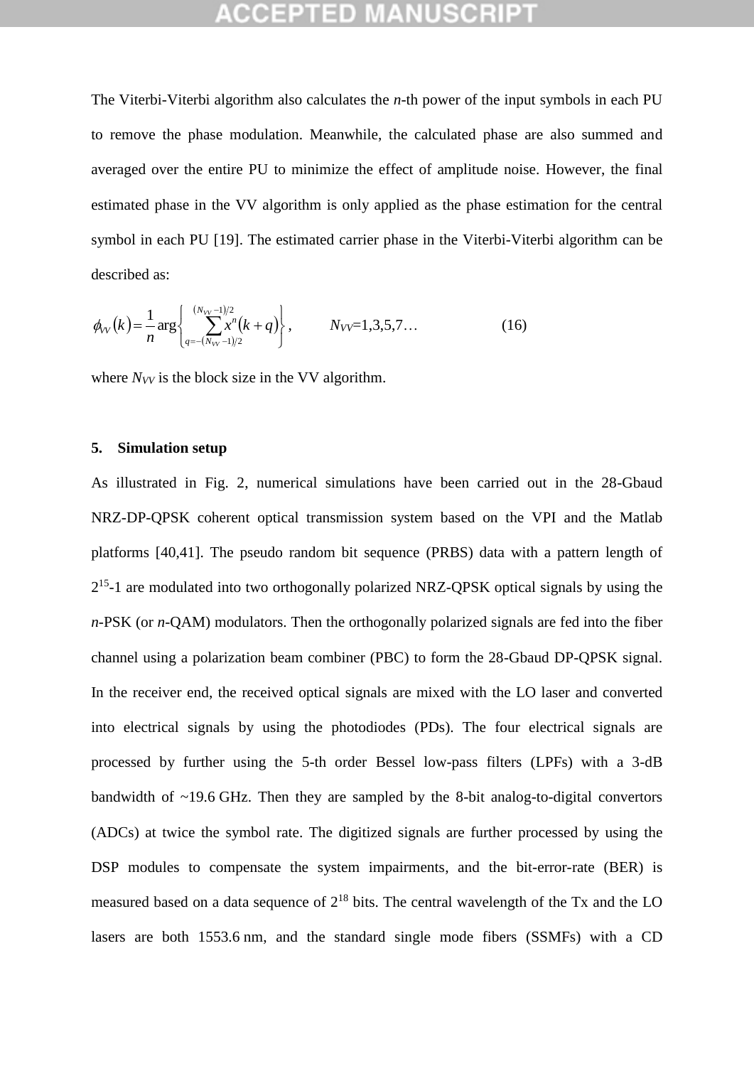The Viterbi-Viterbi algorithm also calculates the *n*-th power of the input symbols in each PU to remove the phase modulation. Meanwhile, the calculated phase are also summed and averaged over the entire PU to minimize the effect of amplitude noise. However, the final estimated phase in the VV algorithm is only applied as the phase estimation for the central symbol in each PU [19]. The estimated carrier phase in the Viterbi-Viterbi algorithm can be described as:

$$
\phi_{VV}(k) = \frac{1}{n} \arg \left\{ \sum_{q=-(N_{VV}-1)/2}^{(N_{VV}-1)/2} x^n(k+q) \right\}, \qquad N_{VV}=1,3,5,7... \tag{16}
$$

where  $N_{VV}$  is the block size in the VV algorithm.

### **5. Simulation setup**

As illustrated in Fig. 2, numerical simulations have been carried out in the 28-Gbaud NRZ-DP-QPSK coherent optical transmission system based on the VPI and the Matlab platforms [40,41]. The pseudo random bit sequence (PRBS) data with a pattern length of 2<sup>15</sup>-1 are modulated into two orthogonally polarized NRZ-QPSK optical signals by using the *n*-PSK (or *n*-QAM) modulators. Then the orthogonally polarized signals are fed into the fiber channel using a polarization beam combiner (PBC) to form the 28-Gbaud DP-QPSK signal. In the receiver end, the received optical signals are mixed with the LO laser and converted into electrical signals by using the photodiodes (PDs). The four electrical signals are processed by further using the 5-th order Bessel low-pass filters (LPFs) with a 3-dB bandwidth of ~19.6 GHz. Then they are sampled by the 8-bit analog-to-digital convertors (ADCs) at twice the symbol rate. The digitized signals are further processed by using the DSP modules to compensate the system impairments, and the bit-error-rate (BER) is measured based on a data sequence of  $2^{18}$  bits. The central wavelength of the Tx and the LO lasers are both 1553.6 nm, and the standard single mode fibers (SSMFs) with a CD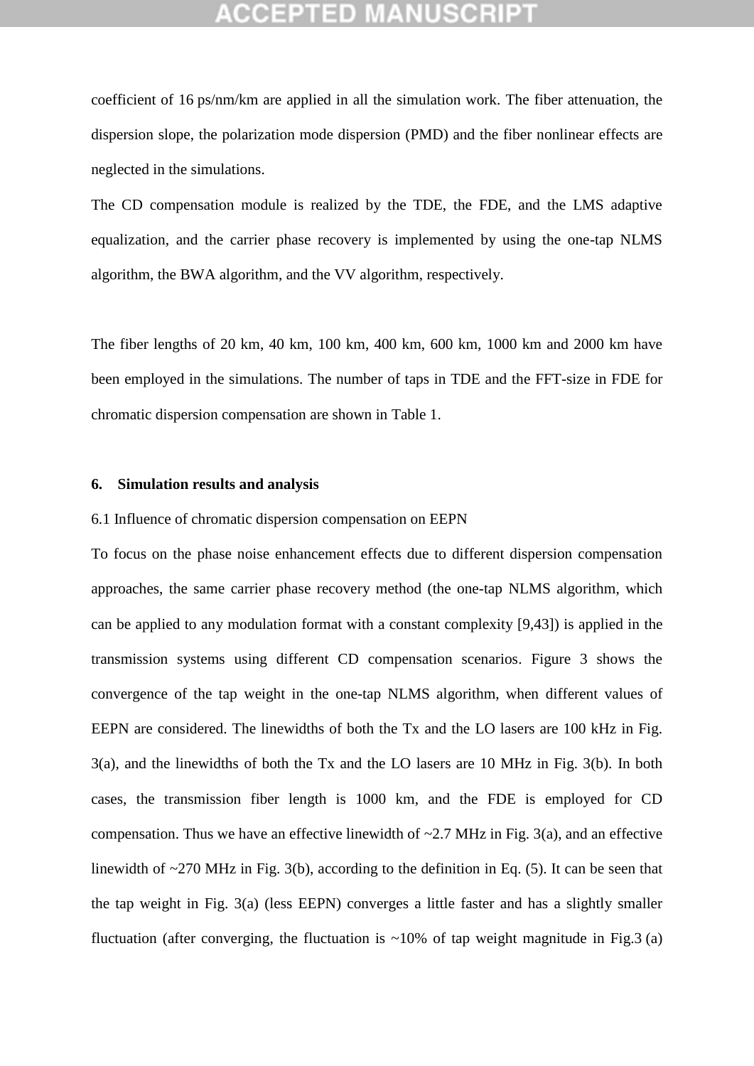coefficient of 16 ps/nm/km are applied in all the simulation work. The fiber attenuation, the dispersion slope, the polarization mode dispersion (PMD) and the fiber nonlinear effects are neglected in the simulations.

The CD compensation module is realized by the TDE, the FDE, and the LMS adaptive equalization, and the carrier phase recovery is implemented by using the one-tap NLMS algorithm, the BWA algorithm, and the VV algorithm, respectively.

The fiber lengths of 20 km, 40 km, 100 km, 400 km, 600 km, 1000 km and 2000 km have been employed in the simulations. The number of taps in TDE and the FFT-size in FDE for chromatic dispersion compensation are shown in Table 1.

### **6. Simulation results and analysis**

## 6.1 Influence of chromatic dispersion compensation on EEPN

To focus on the phase noise enhancement effects due to different dispersion compensation approaches, the same carrier phase recovery method (the one-tap NLMS algorithm, which can be applied to any modulation format with a constant complexity [9,43]) is applied in the transmission systems using different CD compensation scenarios. Figure 3 shows the convergence of the tap weight in the one-tap NLMS algorithm, when different values of EEPN are considered. The linewidths of both the Tx and the LO lasers are 100 kHz in Fig. 3(a), and the linewidths of both the Tx and the LO lasers are 10 MHz in Fig. 3(b). In both cases, the transmission fiber length is 1000 km, and the FDE is employed for CD compensation. Thus we have an effective linewidth of  $\sim$ 2.7 MHz in Fig. 3(a), and an effective linewidth of ~270 MHz in Fig. 3(b), according to the definition in Eq. (5). It can be seen that the tap weight in Fig. 3(a) (less EEPN) converges a little faster and has a slightly smaller fluctuation (after converging, the fluctuation is  $\sim 10\%$  of tap weight magnitude in Fig.3 (a)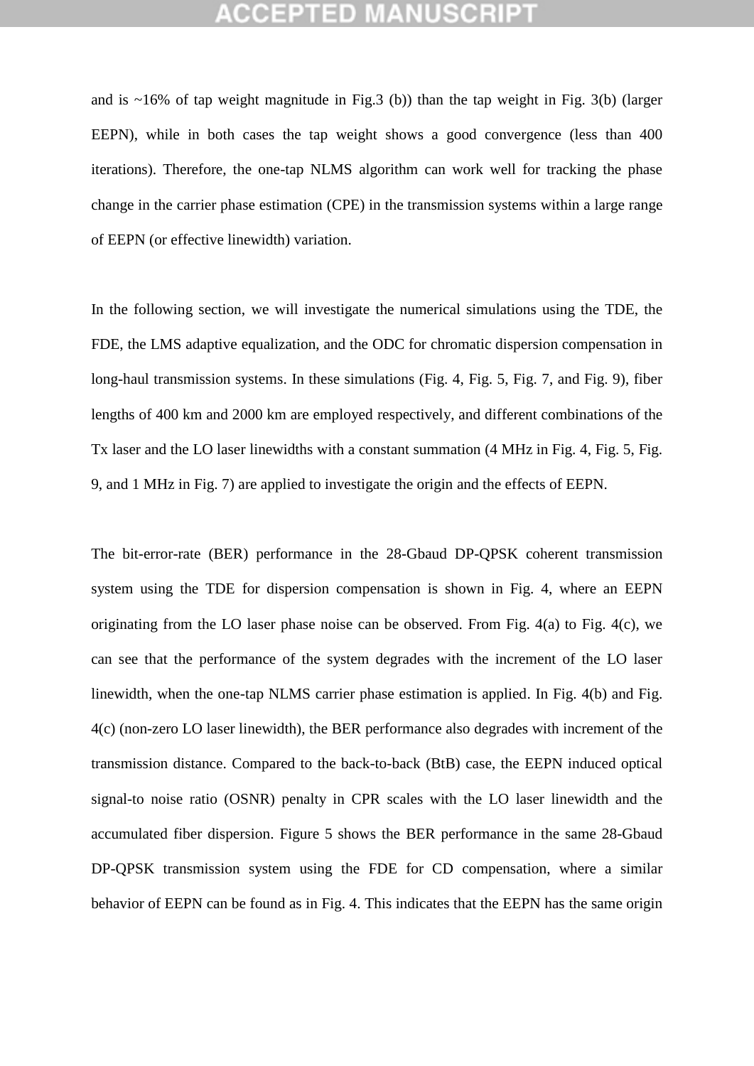and is  $\sim$ 16% of tap weight magnitude in Fig.3 (b)) than the tap weight in Fig. 3(b) (larger EEPN), while in both cases the tap weight shows a good convergence (less than 400 iterations). Therefore, the one-tap NLMS algorithm can work well for tracking the phase change in the carrier phase estimation (CPE) in the transmission systems within a large range of EEPN (or effective linewidth) variation.

In the following section, we will investigate the numerical simulations using the TDE, the FDE, the LMS adaptive equalization, and the ODC for chromatic dispersion compensation in long-haul transmission systems. In these simulations (Fig. 4, Fig. 5, Fig. 7, and Fig. 9), fiber lengths of 400 km and 2000 km are employed respectively, and different combinations of the Tx laser and the LO laser linewidths with a constant summation (4 MHz in Fig. 4, Fig. 5, Fig. 9, and 1 MHz in Fig. 7) are applied to investigate the origin and the effects of EEPN.

The bit-error-rate (BER) performance in the 28-Gbaud DP-QPSK coherent transmission system using the TDE for dispersion compensation is shown in Fig. 4, where an EEPN originating from the LO laser phase noise can be observed. From Fig. 4(a) to Fig. 4(c), we can see that the performance of the system degrades with the increment of the LO laser linewidth, when the one-tap NLMS carrier phase estimation is applied. In Fig. 4(b) and Fig. 4(c) (non-zero LO laser linewidth), the BER performance also degrades with increment of the transmission distance. Compared to the back-to-back (BtB) case, the EEPN induced optical signal-to noise ratio (OSNR) penalty in CPR scales with the LO laser linewidth and the accumulated fiber dispersion. Figure 5 shows the BER performance in the same 28-Gbaud DP-QPSK transmission system using the FDE for CD compensation, where a similar behavior of EEPN can be found as in Fig. 4. This indicates that the EEPN has the same origin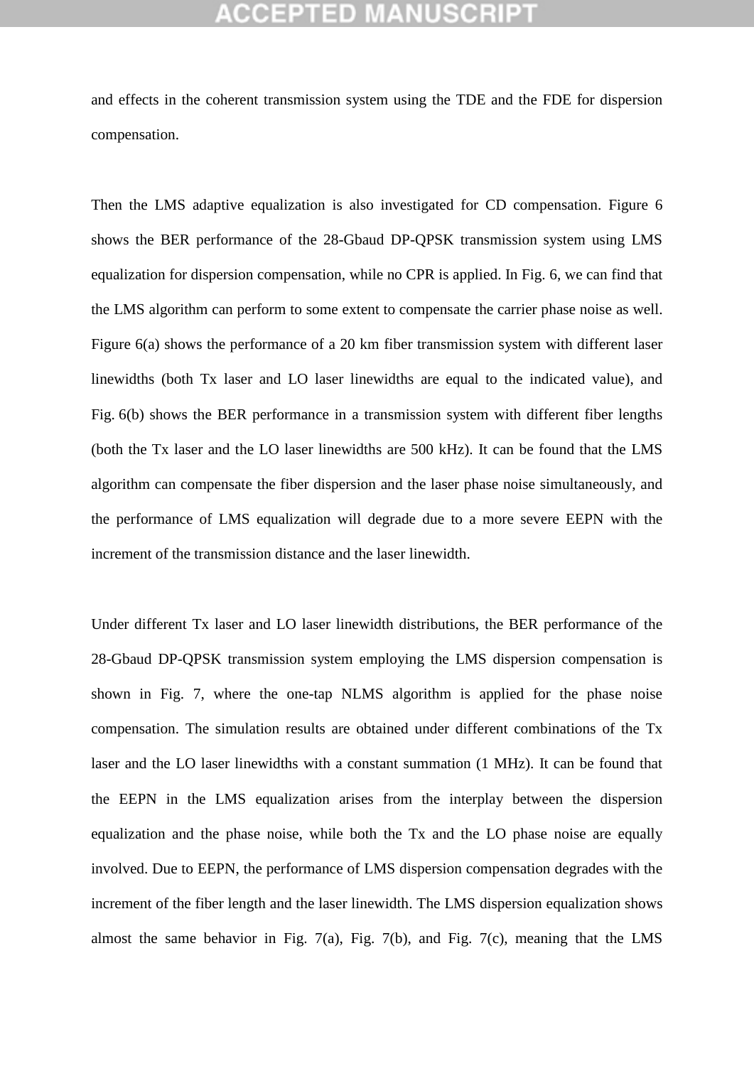## GEPTED M

and effects in the coherent transmission system using the TDE and the FDE for dispersion compensation.

Then the LMS adaptive equalization is also investigated for CD compensation. Figure 6 shows the BER performance of the 28-Gbaud DP-QPSK transmission system using LMS equalization for dispersion compensation, while no CPR is applied. In Fig. 6, we can find that the LMS algorithm can perform to some extent to compensate the carrier phase noise as well. Figure 6(a) shows the performance of a 20 km fiber transmission system with different laser linewidths (both Tx laser and LO laser linewidths are equal to the indicated value), and Fig. 6(b) shows the BER performance in a transmission system with different fiber lengths (both the Tx laser and the LO laser linewidths are 500 kHz). It can be found that the LMS algorithm can compensate the fiber dispersion and the laser phase noise simultaneously, and the performance of LMS equalization will degrade due to a more severe EEPN with the increment of the transmission distance and the laser linewidth.

Under different Tx laser and LO laser linewidth distributions, the BER performance of the 28-Gbaud DP-QPSK transmission system employing the LMS dispersion compensation is shown in Fig. 7, where the one-tap NLMS algorithm is applied for the phase noise compensation. The simulation results are obtained under different combinations of the Tx laser and the LO laser linewidths with a constant summation (1 MHz). It can be found that the EEPN in the LMS equalization arises from the interplay between the dispersion equalization and the phase noise, while both the Tx and the LO phase noise are equally involved. Due to EEPN, the performance of LMS dispersion compensation degrades with the increment of the fiber length and the laser linewidth. The LMS dispersion equalization shows almost the same behavior in Fig. 7(a), Fig. 7(b), and Fig. 7(c), meaning that the LMS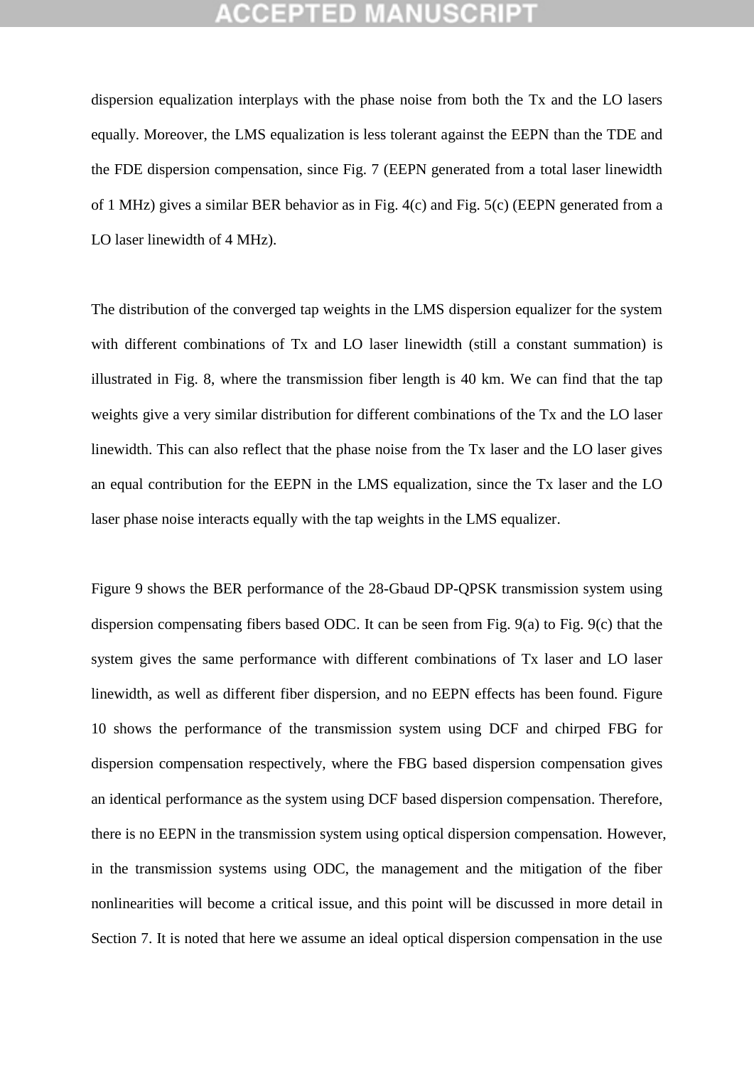dispersion equalization interplays with the phase noise from both the Tx and the LO lasers equally. Moreover, the LMS equalization is less tolerant against the EEPN than the TDE and the FDE dispersion compensation, since Fig. 7 (EEPN generated from a total laser linewidth of 1 MHz) gives a similar BER behavior as in Fig. 4(c) and Fig. 5(c) (EEPN generated from a LO laser linewidth of 4 MHz).

The distribution of the converged tap weights in the LMS dispersion equalizer for the system with different combinations of Tx and LO laser linewidth (still a constant summation) is illustrated in Fig. 8, where the transmission fiber length is 40 km. We can find that the tap weights give a very similar distribution for different combinations of the Tx and the LO laser linewidth. This can also reflect that the phase noise from the Tx laser and the LO laser gives an equal contribution for the EEPN in the LMS equalization, since the Tx laser and the LO laser phase noise interacts equally with the tap weights in the LMS equalizer.

Figure 9 shows the BER performance of the 28-Gbaud DP-QPSK transmission system using dispersion compensating fibers based ODC. It can be seen from Fig. 9(a) to Fig. 9(c) that the system gives the same performance with different combinations of Tx laser and LO laser linewidth, as well as different fiber dispersion, and no EEPN effects has been found. Figure 10 shows the performance of the transmission system using DCF and chirped FBG for dispersion compensation respectively, where the FBG based dispersion compensation gives an identical performance as the system using DCF based dispersion compensation. Therefore, there is no EEPN in the transmission system using optical dispersion compensation. However, in the transmission systems using ODC, the management and the mitigation of the fiber nonlinearities will become a critical issue, and this point will be discussed in more detail in Section 7. It is noted that here we assume an ideal optical dispersion compensation in the use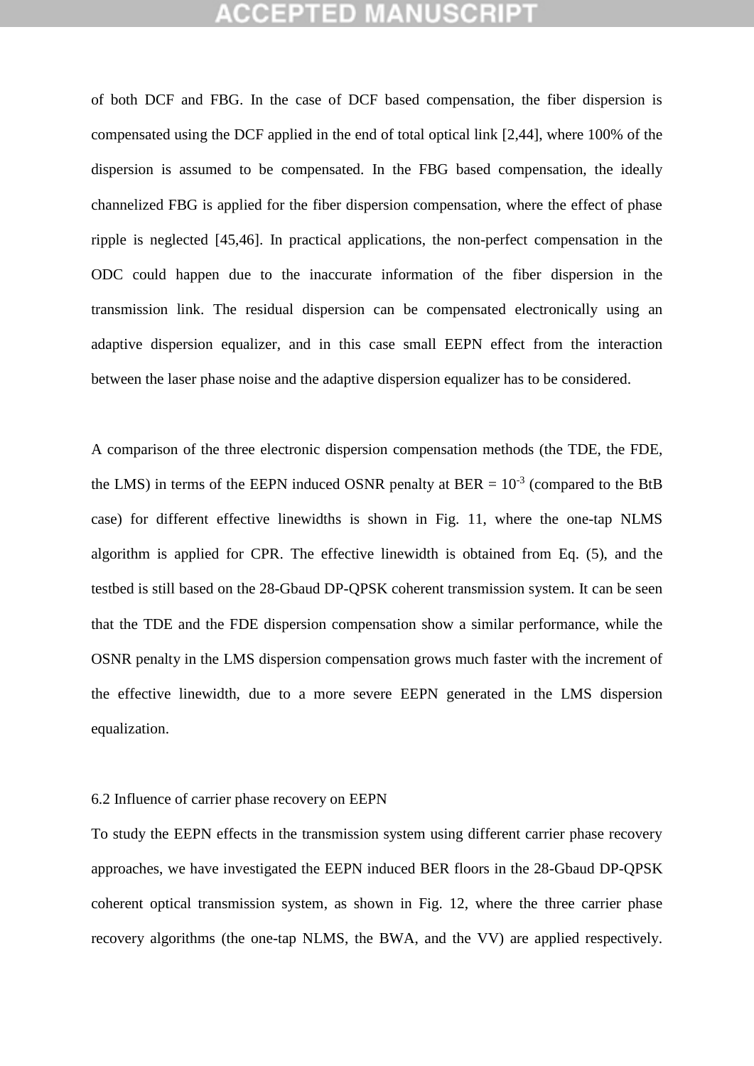## **CEPTED M**

of both DCF and FBG. In the case of DCF based compensation, the fiber dispersion is compensated using the DCF applied in the end of total optical link [2,44], where 100% of the dispersion is assumed to be compensated. In the FBG based compensation, the ideally channelized FBG is applied for the fiber dispersion compensation, where the effect of phase ripple is neglected [45,46]. In practical applications, the non-perfect compensation in the ODC could happen due to the inaccurate information of the fiber dispersion in the transmission link. The residual dispersion can be compensated electronically using an adaptive dispersion equalizer, and in this case small EEPN effect from the interaction between the laser phase noise and the adaptive dispersion equalizer has to be considered.

A comparison of the three electronic dispersion compensation methods (the TDE, the FDE, the LMS) in terms of the EEPN induced OSNR penalty at BER =  $10^{-3}$  (compared to the BtB case) for different effective linewidths is shown in Fig. 11, where the one-tap NLMS algorithm is applied for CPR. The effective linewidth is obtained from Eq. (5), and the testbed is still based on the 28-Gbaud DP-QPSK coherent transmission system. It can be seen that the TDE and the FDE dispersion compensation show a similar performance, while the OSNR penalty in the LMS dispersion compensation grows much faster with the increment of the effective linewidth, due to a more severe EEPN generated in the LMS dispersion equalization.

## 6.2 Influence of carrier phase recovery on EEPN

To study the EEPN effects in the transmission system using different carrier phase recovery approaches, we have investigated the EEPN induced BER floors in the 28-Gbaud DP-QPSK coherent optical transmission system, as shown in Fig. 12, where the three carrier phase recovery algorithms (the one-tap NLMS, the BWA, and the VV) are applied respectively.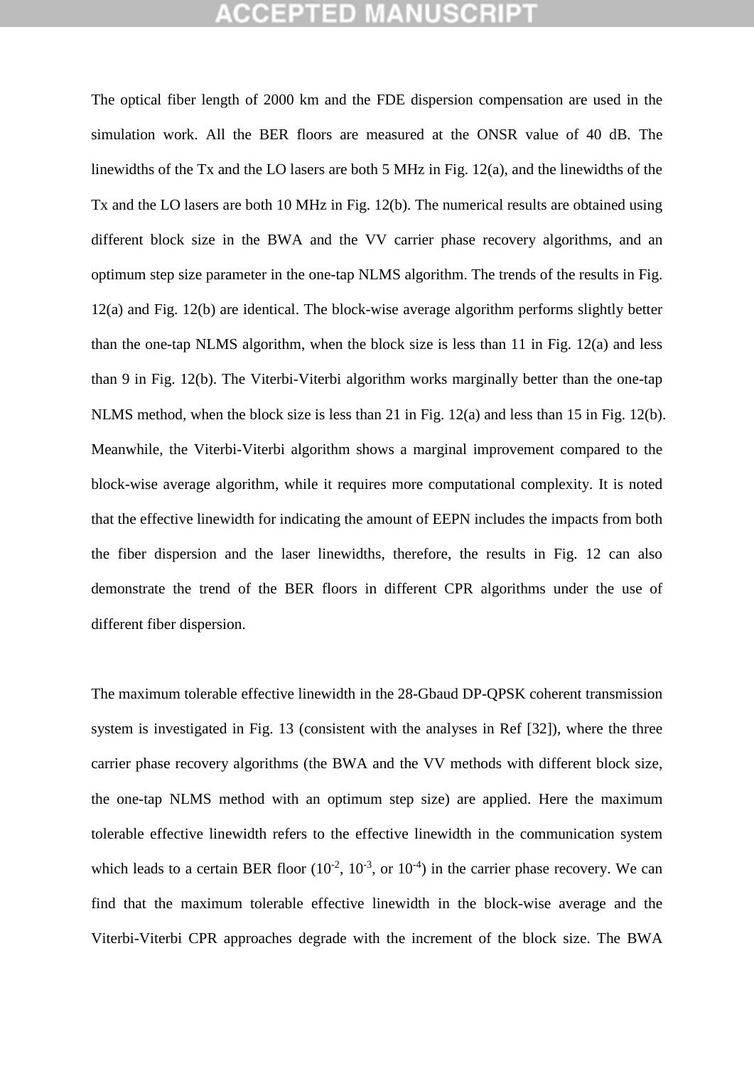The optical fiber length of 2000 km and the FDE dispersion compensation are used in the simulation work. All the BER floors are measured at the ONSR value of 40 dB. The linewidths of the Tx and the LO lasers are both 5 MHz in Fig. 12(a), and the linewidths of the Tx and the LO lasers are both 10 MHz in Fig. 12(b). The numerical results are obtained using different block size in the BWA and the VV carrier phase recovery algorithms, and an optimum step size parameter in the one-tap NLMS algorithm. The trends of the results in Fig. 12(a) and Fig. 12(b) are identical. The block-wise average algorithm performs slightly better than the one-tap NLMS algorithm, when the block size is less than 11 in Fig. 12(a) and less than 9 in Fig. 12(b). The Viterbi-Viterbi algorithm works marginally better than the one-tap NLMS method, when the block size is less than 21 in Fig. 12(a) and less than 15 in Fig. 12(b). Meanwhile, the Viterbi-Viterbi algorithm shows a marginal improvement compared to the block-wise average algorithm, while it requires more computational complexity. It is noted that the effective linewidth for indicating the amount of EEPN includes the impacts from both the fiber dispersion and the laser linewidths, therefore, the results in Fig. 12 can also demonstrate the trend of the BER floors in different CPR algorithms under the use of different fiber dispersion.

The maximum tolerable effective linewidth in the 28-Gbaud DP-QPSK coherent transmission system is investigated in Fig. 13 (consistent with the analyses in Ref [32]), where the three carrier phase recovery algorithms (the BWA and the VV methods with different block size, the one-tap NLMS method with an optimum step size) are applied. Here the maximum tolerable effective linewidth refers to the effective linewidth in the communication system which leads to a certain BER floor  $(10^{-2}, 10^{-3}, \text{ or } 10^{-4})$  in the carrier phase recovery. We can find that the maximum tolerable effective linewidth in the block-wise average and the Viterbi-Viterbi CPR approaches degrade with the increment of the block size. The BWA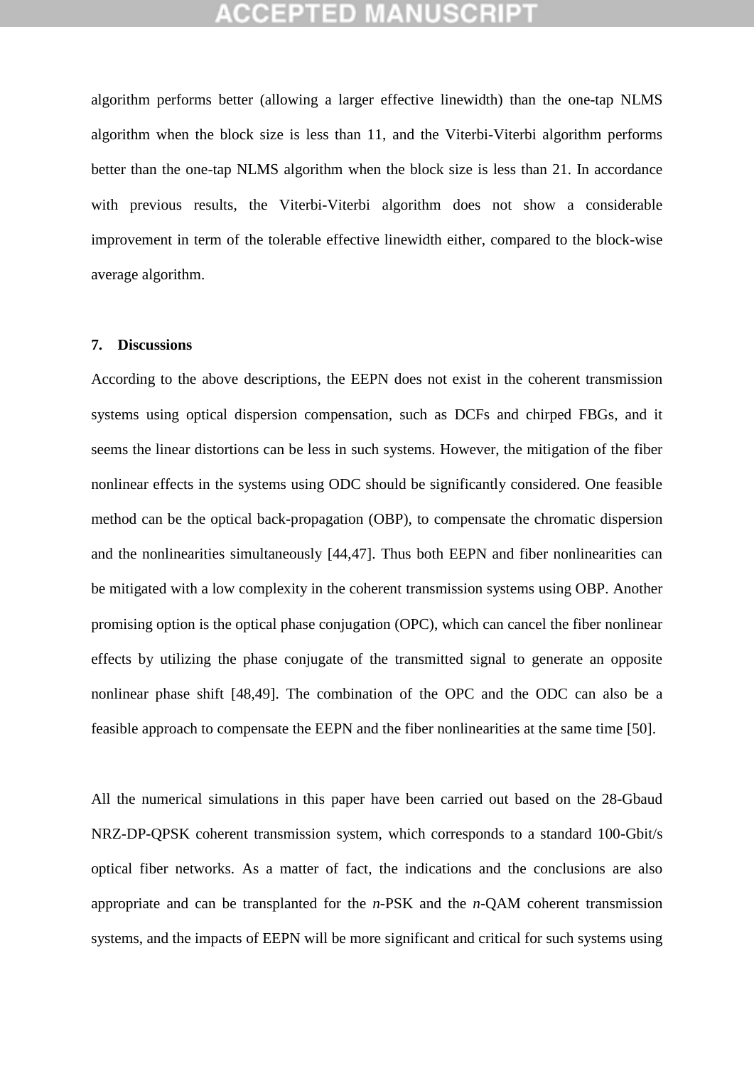algorithm performs better (allowing a larger effective linewidth) than the one-tap NLMS algorithm when the block size is less than 11, and the Viterbi-Viterbi algorithm performs better than the one-tap NLMS algorithm when the block size is less than 21. In accordance with previous results, the Viterbi-Viterbi algorithm does not show a considerable improvement in term of the tolerable effective linewidth either, compared to the block-wise average algorithm.

### **7. Discussions**

According to the above descriptions, the EEPN does not exist in the coherent transmission systems using optical dispersion compensation, such as DCFs and chirped FBGs, and it seems the linear distortions can be less in such systems. However, the mitigation of the fiber nonlinear effects in the systems using ODC should be significantly considered. One feasible method can be the optical back-propagation (OBP), to compensate the chromatic dispersion and the nonlinearities simultaneously [44,47]. Thus both EEPN and fiber nonlinearities can be mitigated with a low complexity in the coherent transmission systems using OBP. Another promising option is the optical phase conjugation (OPC), which can cancel the fiber nonlinear effects by utilizing the phase conjugate of the transmitted signal to generate an opposite nonlinear phase shift [48,49]. The combination of the OPC and the ODC can also be a feasible approach to compensate the EEPN and the fiber nonlinearities at the same time [50].

All the numerical simulations in this paper have been carried out based on the 28-Gbaud NRZ-DP-QPSK coherent transmission system, which corresponds to a standard 100-Gbit/s optical fiber networks. As a matter of fact, the indications and the conclusions are also appropriate and can be transplanted for the *n*-PSK and the *n*-QAM coherent transmission systems, and the impacts of EEPN will be more significant and critical for such systems using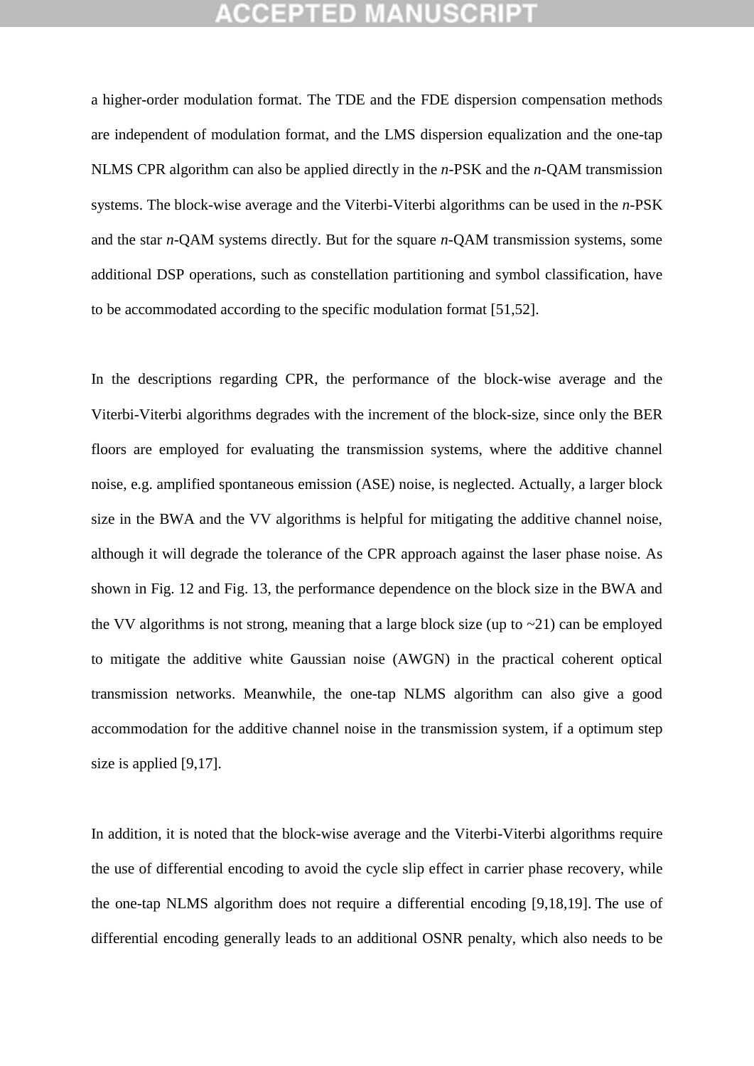a higher-order modulation format. The TDE and the FDE dispersion compensation methods are independent of modulation format, and the LMS dispersion equalization and the one-tap NLMS CPR algorithm can also be applied directly in the *n*-PSK and the *n*-QAM transmission systems. The block-wise average and the Viterbi-Viterbi algorithms can be used in the *n*-PSK and the star *n*-QAM systems directly. But for the square *n*-QAM transmission systems, some additional DSP operations, such as constellation partitioning and symbol classification, have to be accommodated according to the specific modulation format [51,52].

In the descriptions regarding CPR, the performance of the block-wise average and the Viterbi-Viterbi algorithms degrades with the increment of the block-size, since only the BER floors are employed for evaluating the transmission systems, where the additive channel noise, e.g. amplified spontaneous emission (ASE) noise, is neglected. Actually, a larger block size in the BWA and the VV algorithms is helpful for mitigating the additive channel noise, although it will degrade the tolerance of the CPR approach against the laser phase noise. As shown in Fig. 12 and Fig. 13, the performance dependence on the block size in the BWA and the VV algorithms is not strong, meaning that a large block size (up to  $\sim$ 21) can be employed to mitigate the additive white Gaussian noise (AWGN) in the practical coherent optical transmission networks. Meanwhile, the one-tap NLMS algorithm can also give a good accommodation for the additive channel noise in the transmission system, if a optimum step size is applied [9,17].

In addition, it is noted that the block-wise average and the Viterbi-Viterbi algorithms require the use of differential encoding to avoid the cycle slip effect in carrier phase recovery, while the one-tap NLMS algorithm does not require a differential encoding [9,18,19]. The use of differential encoding generally leads to an additional OSNR penalty, which also needs to be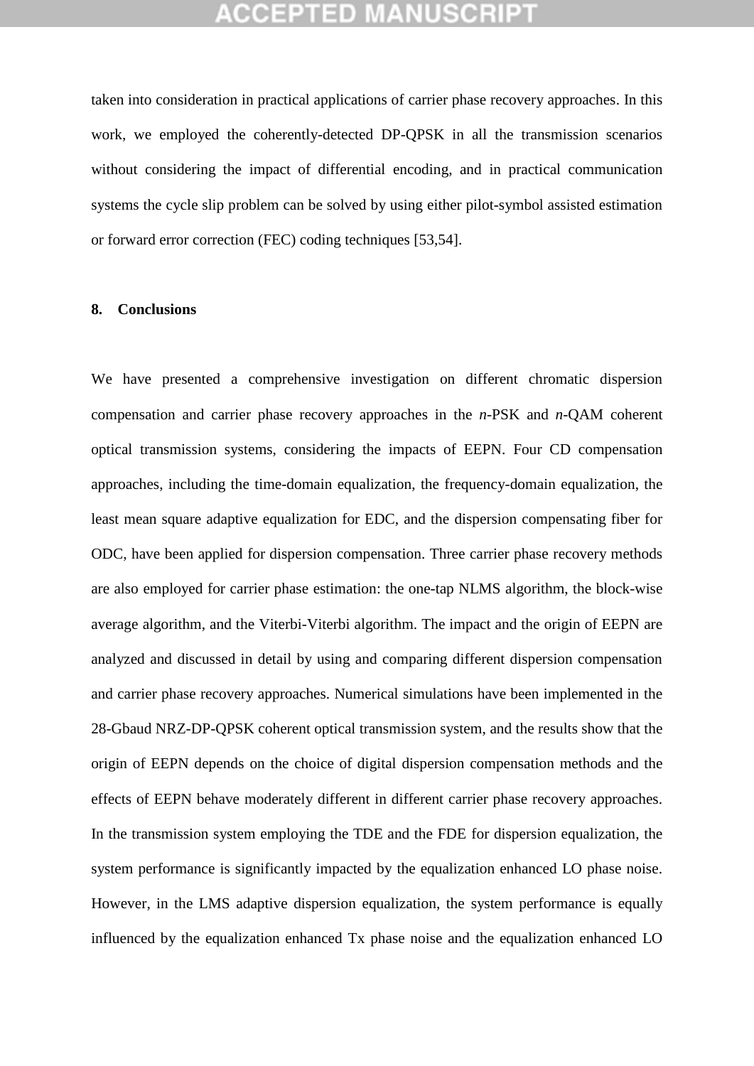taken into consideration in practical applications of carrier phase recovery approaches. In this work, we employed the coherently-detected DP-QPSK in all the transmission scenarios without considering the impact of differential encoding, and in practical communication systems the cycle slip problem can be solved by using either pilot-symbol assisted estimation or forward error correction (FEC) coding techniques [53,54].

### **8. Conclusions**

We have presented a comprehensive investigation on different chromatic dispersion compensation and carrier phase recovery approaches in the *n*-PSK and *n*-QAM coherent optical transmission systems, considering the impacts of EEPN. Four CD compensation approaches, including the time-domain equalization, the frequency-domain equalization, the least mean square adaptive equalization for EDC, and the dispersion compensating fiber for ODC, have been applied for dispersion compensation. Three carrier phase recovery methods are also employed for carrier phase estimation: the one-tap NLMS algorithm, the block-wise average algorithm, and the Viterbi-Viterbi algorithm. The impact and the origin of EEPN are analyzed and discussed in detail by using and comparing different dispersion compensation and carrier phase recovery approaches. Numerical simulations have been implemented in the 28-Gbaud NRZ-DP-QPSK coherent optical transmission system, and the results show that the origin of EEPN depends on the choice of digital dispersion compensation methods and the effects of EEPN behave moderately different in different carrier phase recovery approaches. In the transmission system employing the TDE and the FDE for dispersion equalization, the system performance is significantly impacted by the equalization enhanced LO phase noise. However, in the LMS adaptive dispersion equalization, the system performance is equally influenced by the equalization enhanced Tx phase noise and the equalization enhanced LO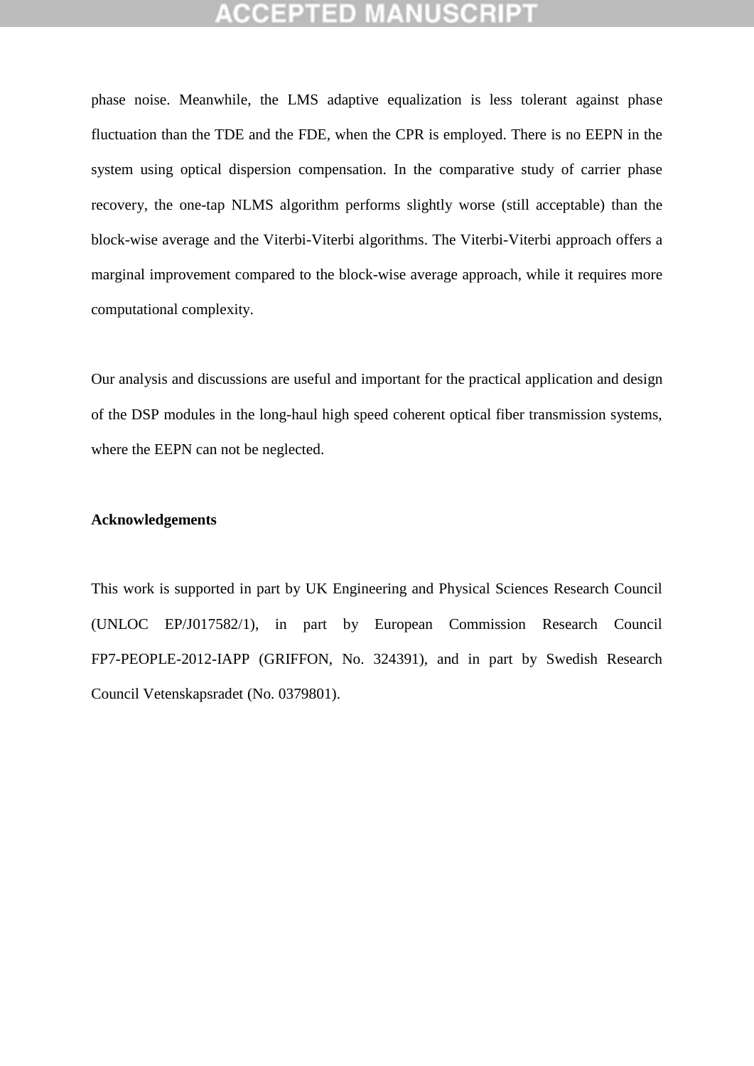phase noise. Meanwhile, the LMS adaptive equalization is less tolerant against phase fluctuation than the TDE and the FDE, when the CPR is employed. There is no EEPN in the system using optical dispersion compensation. In the comparative study of carrier phase recovery, the one-tap NLMS algorithm performs slightly worse (still acceptable) than the block-wise average and the Viterbi-Viterbi algorithms. The Viterbi-Viterbi approach offers a marginal improvement compared to the block-wise average approach, while it requires more computational complexity.

Our analysis and discussions are useful and important for the practical application and design of the DSP modules in the long-haul high speed coherent optical fiber transmission systems, where the EEPN can not be neglected.

## **Acknowledgements**

This work is supported in part by UK Engineering and Physical Sciences Research Council (UNLOC EP/J017582/1), in part by European Commission Research Council FP7-PEOPLE-2012-IAPP (GRIFFON, No. 324391), and in part by Swedish Research Council Vetenskapsradet (No. 0379801).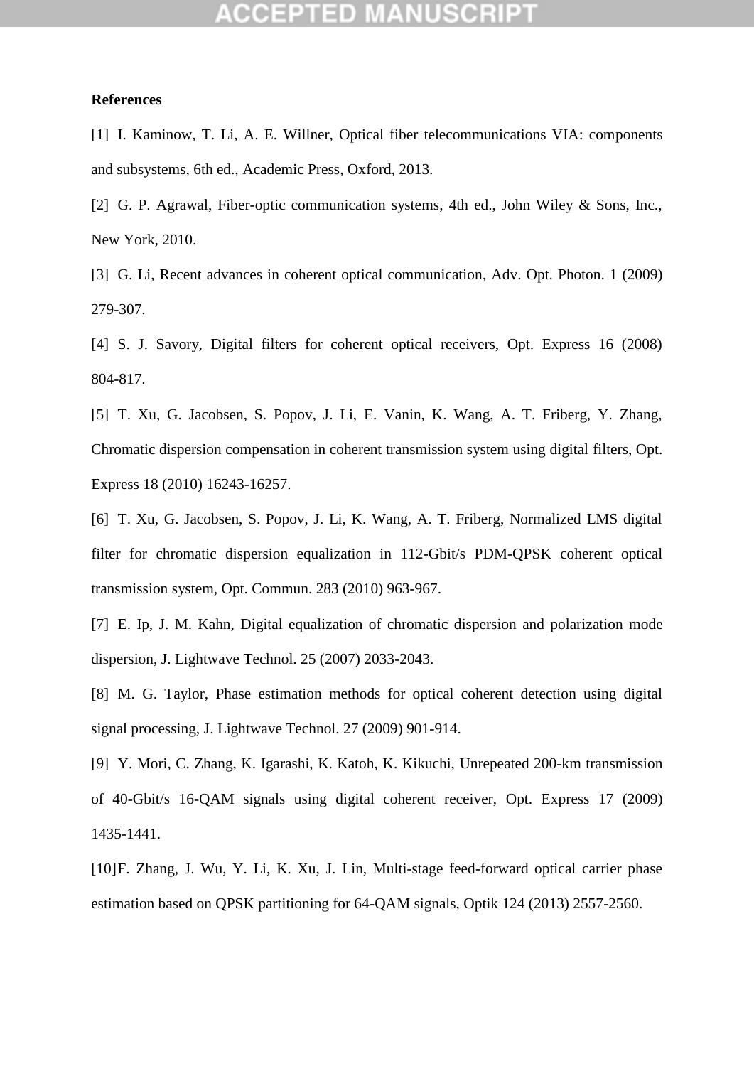### **References**

[1] I. Kaminow, T. Li, A. E. Willner, Optical fiber telecommunications VIA: components and subsystems, 6th ed., Academic Press, Oxford, 2013.

[2] G. P. Agrawal, Fiber-optic communication systems, 4th ed., John Wiley & Sons, Inc., New York, 2010.

[3] G. Li, Recent advances in coherent optical communication, Adv. Opt. Photon. 1 (2009) 279-307.

[4] S. J. Savory, Digital filters for coherent optical receivers, Opt. Express 16 (2008) 804-817.

[5] T. Xu, G. Jacobsen, S. Popov, J. Li, E. Vanin, K. Wang, A. T. Friberg, Y. Zhang, Chromatic dispersion compensation in coherent transmission system using digital filters, Opt. Express 18 (2010) 16243-16257.

[6] T. Xu, G. Jacobsen, S. Popov, J. Li, K. Wang, A. T. Friberg, Normalized LMS digital filter for chromatic dispersion equalization in 112-Gbit/s PDM-QPSK coherent optical transmission system, Opt. Commun. 283 (2010) 963-967.

[7] E. Ip, J. M. Kahn, Digital equalization of chromatic dispersion and polarization mode dispersion, J. Lightwave Technol. 25 (2007) 2033-2043.

[8] M. G. Taylor, Phase estimation methods for optical coherent detection using digital signal processing, J. Lightwave Technol. 27 (2009) 901-914.

[9] Y. Mori, C. Zhang, K. Igarashi, K. Katoh, K. Kikuchi, Unrepeated 200-km transmission of 40-Gbit/s 16-QAM signals using digital coherent receiver, Opt. Express 17 (2009) 1435-1441.

[10]F. Zhang, J. Wu, Y. Li, K. Xu, J. Lin, Multi-stage feed-forward optical carrier phase estimation based on QPSK partitioning for 64-QAM signals, Optik 124 (2013) 2557-2560.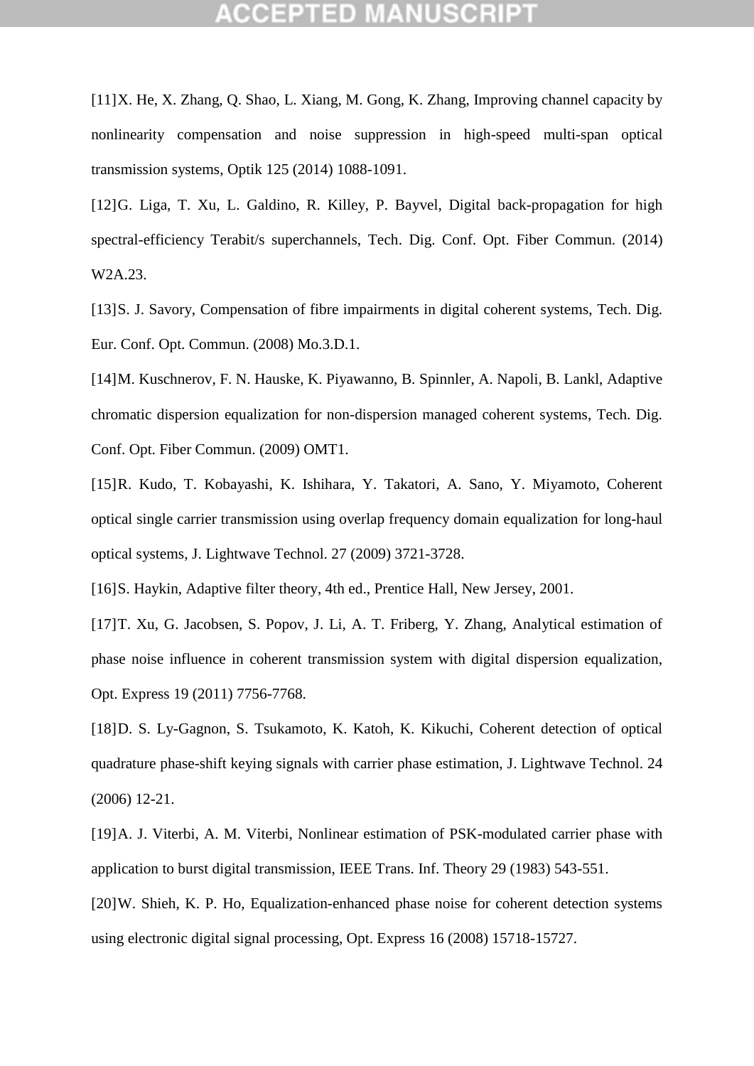## GEPTED

[11]X. He, X. Zhang, Q. Shao, L. Xiang, M. Gong, K. Zhang, Improving channel capacity by nonlinearity compensation and noise suppression in high-speed multi-span optical transmission systems, Optik 125 (2014) 1088-1091.

[12]G. Liga, T. Xu, L. Galdino, R. Killey, P. Bayvel, Digital back-propagation for high spectral-efficiency Terabit/s superchannels, Tech. Dig. Conf. Opt. Fiber Commun. (2014) W2A.23.

[13]S. J. Savory, Compensation of fibre impairments in digital coherent systems, Tech. Dig. Eur. Conf. Opt. Commun. (2008) Mo.3.D.1.

[14]M. Kuschnerov, F. N. Hauske, K. Piyawanno, B. Spinnler, A. Napoli, B. Lankl, Adaptive chromatic dispersion equalization for non-dispersion managed coherent systems, Tech. Dig. Conf. Opt. Fiber Commun. (2009) OMT1.

[15]R. Kudo, T. Kobayashi, K. Ishihara, Y. Takatori, A. Sano, Y. Miyamoto, Coherent optical single carrier transmission using overlap frequency domain equalization for long-haul optical systems, J. Lightwave Technol. 27 (2009) 3721-3728.

[16] S. Haykin, Adaptive filter theory, 4th ed., Prentice Hall, New Jersey, 2001.

[17]T. Xu, G. Jacobsen, S. Popov, J. Li, A. T. Friberg, Y. Zhang, Analytical estimation of phase noise influence in coherent transmission system with digital dispersion equalization, Opt. Express 19 (2011) 7756-7768.

[18]D. S. Ly-Gagnon, S. Tsukamoto, K. Katoh, K. Kikuchi, Coherent detection of optical quadrature phase-shift keying signals with carrier phase estimation, J. Lightwave Technol. 24 (2006) 12-21.

[19]A. J. Viterbi, A. M. Viterbi, Nonlinear estimation of PSK-modulated carrier phase with application to burst digital transmission, IEEE Trans. Inf. Theory 29 (1983) 543-551.

[20]W. Shieh, K. P. Ho, Equalization-enhanced phase noise for coherent detection systems using electronic digital signal processing, Opt. Express 16 (2008) 15718-15727.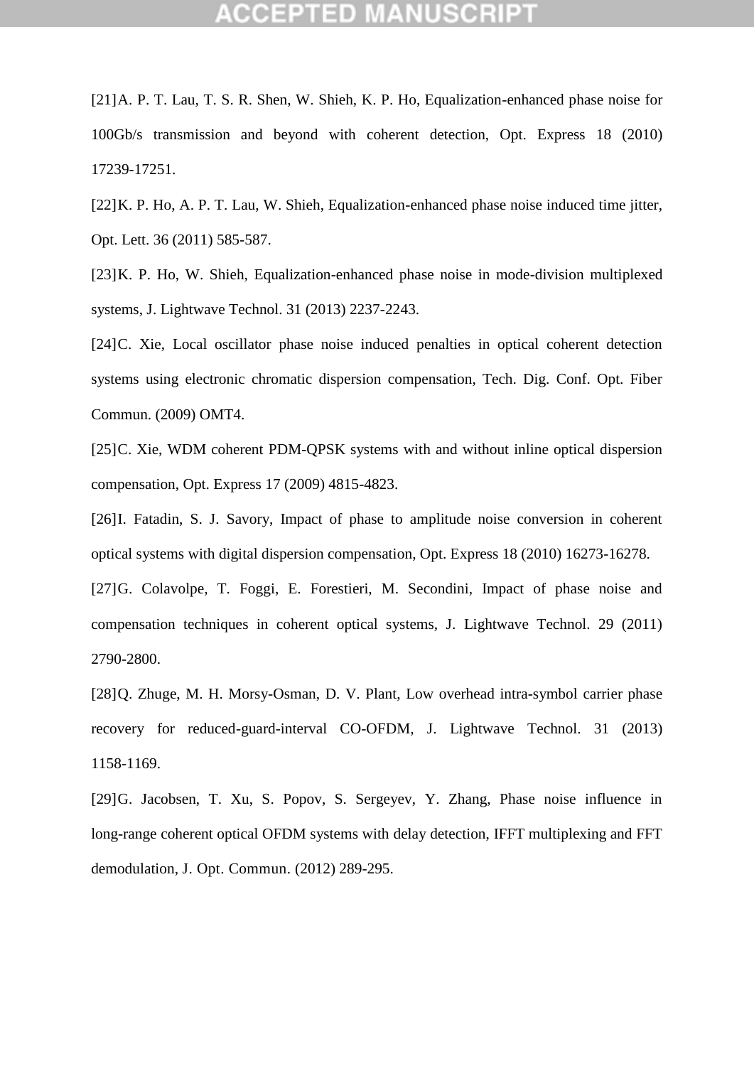[21]A. P. T. Lau, T. S. R. Shen, W. Shieh, K. P. Ho, Equalization-enhanced phase noise for 100Gb/s transmission and beyond with coherent detection, Opt. Express 18 (2010) 17239-17251.

[22]K. P. Ho, A. P. T. Lau, W. Shieh, Equalization-enhanced phase noise induced time jitter, Opt. Lett. 36 (2011) 585-587.

[23]K. P. Ho, W. Shieh, Equalization-enhanced phase noise in mode-division multiplexed systems, J. Lightwave Technol. 31 (2013) 2237-2243.

[24]C. Xie, Local oscillator phase noise induced penalties in optical coherent detection systems using electronic chromatic dispersion compensation, Tech. Dig. Conf. Opt. Fiber Commun. (2009) OMT4.

[25]C. Xie, WDM coherent PDM-QPSK systems with and without inline optical dispersion compensation, Opt. Express 17 (2009) 4815-4823.

[26]I. Fatadin, S. J. Savory, Impact of phase to amplitude noise conversion in coherent optical systems with digital dispersion compensation, Opt. Express 18 (2010) 16273-16278.

[27]G. Colavolpe, T. Foggi, E. Forestieri, M. Secondini, Impact of phase noise and compensation techniques in coherent optical systems, J. Lightwave Technol. 29 (2011) 2790-2800.

[28] Q. Zhuge, M. H. Morsy-Osman, D. V. Plant, Low overhead intra-symbol carrier phase recovery for reduced-guard-interval CO-OFDM, J. Lightwave Technol. 31 (2013) 1158-1169.

[29]G. Jacobsen, T. Xu, S. Popov, S. Sergeyev, Y. Zhang, Phase noise influence in long-range coherent optical OFDM systems with delay detection, IFFT multiplexing and FFT demodulation, J. Opt. Commun. (2012) 289-295.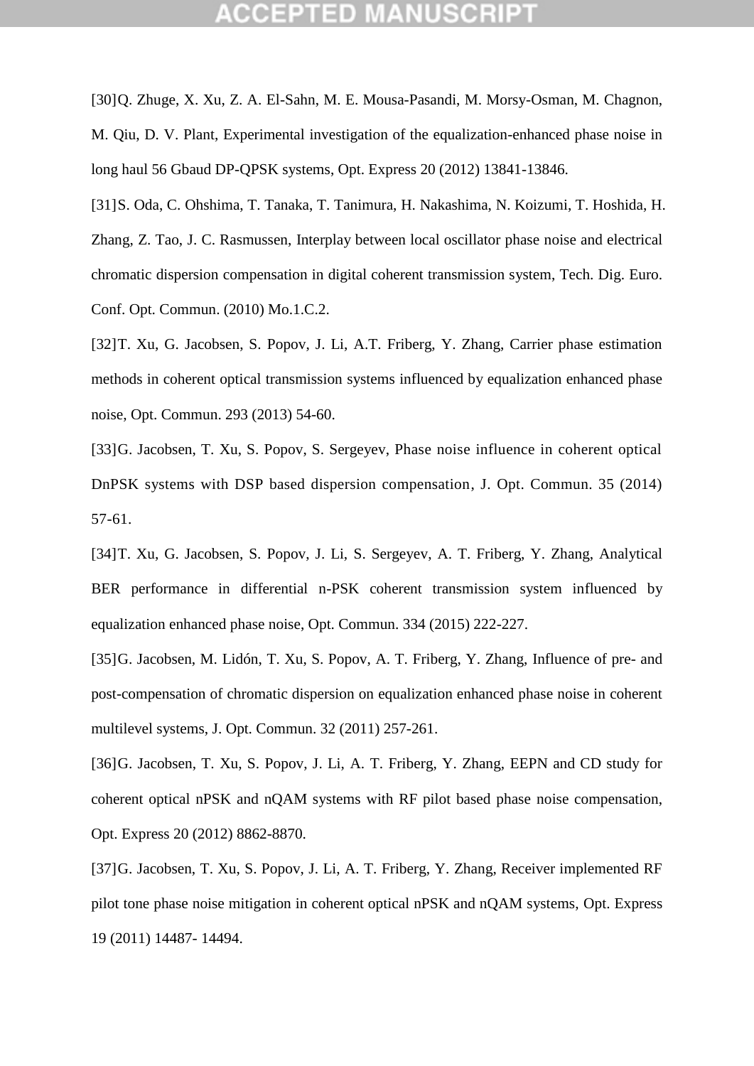## ICEPTED M

[30]Q. Zhuge, X. Xu, Z. A. El-Sahn, M. E. Mousa-Pasandi, M. Morsy-Osman, M. Chagnon, M. Qiu, D. V. Plant, Experimental investigation of the equalization-enhanced phase noise in long haul 56 Gbaud DP-QPSK systems, Opt. Express 20 (2012) 13841-13846.

[31]S. Oda, C. Ohshima, T. Tanaka, T. Tanimura, H. Nakashima, N. Koizumi, T. Hoshida, H. Zhang, Z. Tao, J. C. Rasmussen, Interplay between local oscillator phase noise and electrical chromatic dispersion compensation in digital coherent transmission system, Tech. Dig. Euro. Conf. Opt. Commun. (2010) Mo.1.C.2.

[32]T. Xu, G. Jacobsen, S. Popov, J. Li, A.T. Friberg, Y. Zhang, Carrier phase estimation methods in coherent optical transmission systems influenced by equalization enhanced phase noise, Opt. Commun. 293 (2013) 54-60.

[33]G. Jacobsen, T. Xu, S. Popov, S. Sergeyev, Phase noise influence in coherent optical DnPSK systems with DSP based dispersion compensation, J. Opt. Commun. 35 (2014) 57-61.

[34]T. Xu, G. Jacobsen, S. Popov, J. Li, S. Sergeyev, A. T. Friberg, Y. Zhang, Analytical BER performance in differential n-PSK coherent transmission system influenced by equalization enhanced phase noise, Opt. Commun. 334 (2015) 222-227.

[35]G. Jacobsen, M. Lidón, T. Xu, S. Popov, A. T. Friberg, Y. Zhang, Influence of pre- and post-compensation of chromatic dispersion on equalization enhanced phase noise in coherent multilevel systems, J. Opt. Commun. 32 (2011) 257-261.

[36]G. Jacobsen, T. Xu, S. Popov, J. Li, A. T. Friberg, Y. Zhang, EEPN and CD study for coherent optical nPSK and nQAM systems with RF pilot based phase noise compensation, Opt. Express 20 (2012) 8862-8870.

[37]G. Jacobsen, T. Xu, S. Popov, J. Li, A. T. Friberg, Y. Zhang, Receiver implemented RF pilot tone phase noise mitigation in coherent optical nPSK and nQAM systems, Opt. Express 19 (2011) 14487- 14494.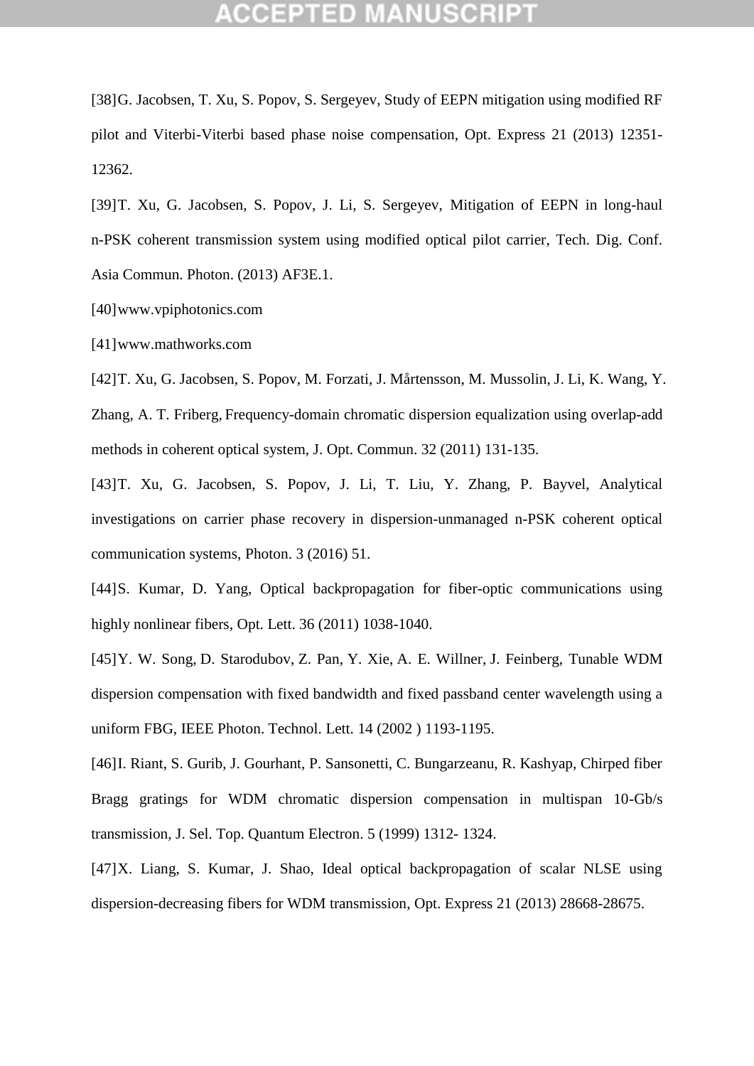[38]G. Jacobsen, T. Xu, S. Popov, S. Sergeyev, Study of EEPN mitigation using modified RF pilot and Viterbi-Viterbi based phase noise compensation, Opt. Express 21 (2013) 12351- 12362.

[39]T. Xu, G. Jacobsen, S. Popov, J. Li, S. Sergeyev, Mitigation of EEPN in long-haul n-PSK coherent transmission system using modified optical pilot carrier, Tech. Dig. Conf. Asia Commun. Photon. (2013) AF3E.1.

[40]www.vpiphotonics.com

[41]www.mathworks.com

[42]T. Xu, G. Jacobsen, S. Popov, M. Forzati, J. Mårtensson, M. Mussolin, J. Li, K. Wang, Y. Zhang, A. T. Friberg, Frequency-domain chromatic dispersion equalization using overlap-add methods in coherent optical system, J. Opt. Commun. 32 (2011) 131-135.

[43]T. Xu, G. Jacobsen, S. Popov, J. Li, T. Liu, Y. Zhang, P. Bayvel, Analytical investigations on carrier phase recovery in dispersion-unmanaged n-PSK coherent optical communication systems, Photon. 3 (2016) 51.

[44]S. Kumar, D. Yang, Optical backpropagation for fiber-optic communications using highly nonlinear fibers, Opt. Lett. 36 (2011) 1038-1040.

[45]Y. W. Song, D. Starodubov, Z. Pan, Y. Xie, A. E. Willner, J. Feinberg, Tunable WDM dispersion compensation with fixed bandwidth and fixed passband center wavelength using a uniform FBG, IEEE Photon. Technol. Lett. 14 (2002 ) 1193-1195.

[46]I. Riant, S. Gurib, J. Gourhant, P. Sansonetti, C. Bungarzeanu, R. Kashyap, Chirped fiber Bragg gratings for WDM chromatic dispersion compensation in multispan 10-Gb/s transmission, J. Sel. Top. Quantum Electron. 5 (1999) 1312- 1324.

[47]X. Liang, S. Kumar, J. Shao, Ideal optical backpropagation of scalar NLSE using dispersion-decreasing fibers for WDM transmission, Opt. Express 21 (2013) 28668-28675.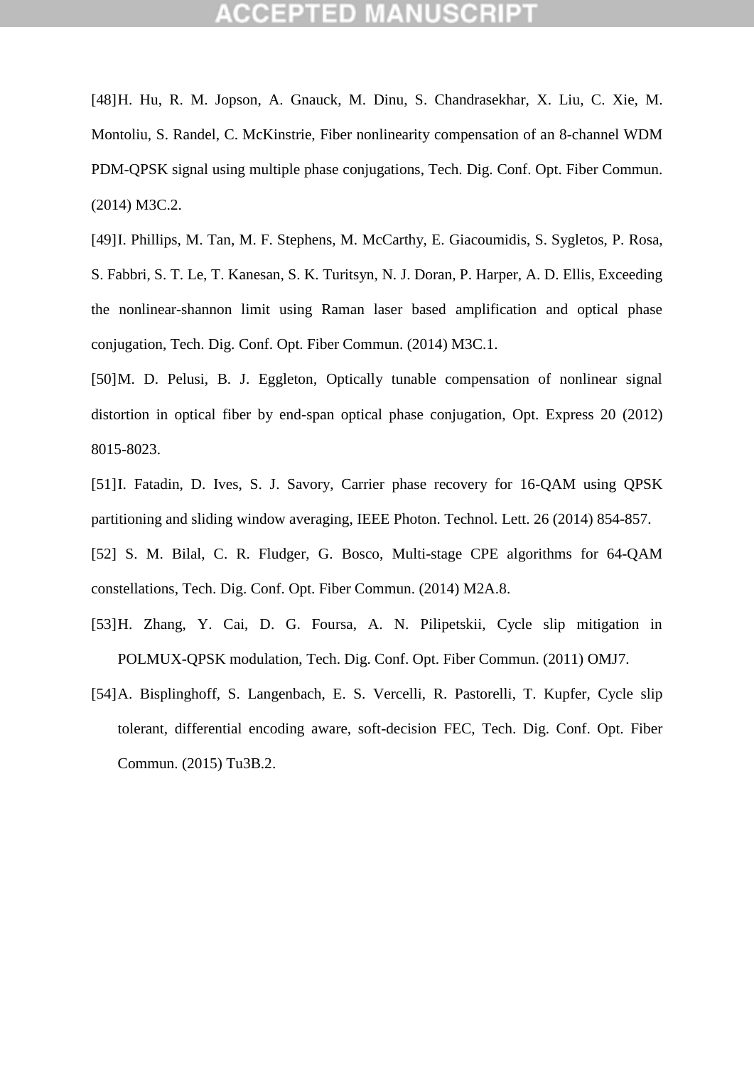[48]H. Hu, R. M. Jopson, A. Gnauck, M. Dinu, S. Chandrasekhar, X. Liu, C. Xie, M. Montoliu, S. Randel, C. McKinstrie, Fiber nonlinearity compensation of an 8-channel WDM PDM-QPSK signal using multiple phase conjugations, Tech. Dig. Conf. Opt. Fiber Commun. (2014) M3C.2.

[49]I. Phillips, M. Tan, M. F. Stephens, M. McCarthy, E. Giacoumidis, S. Sygletos, P. Rosa, S. Fabbri, S. T. Le, T. Kanesan, S. K. Turitsyn, N. J. Doran, P. Harper, A. D. Ellis, Exceeding the nonlinear-shannon limit using Raman laser based amplification and optical phase conjugation, Tech. Dig. Conf. Opt. Fiber Commun. (2014) M3C.1.

[50]M. D. Pelusi, B. J. Eggleton, Optically tunable compensation of nonlinear signal distortion in optical fiber by end-span optical phase conjugation, Opt. Express 20 (2012) 8015-8023.

[51]I. Fatadin, D. Ives, S. J. Savory, Carrier phase recovery for 16-QAM using QPSK partitioning and sliding window averaging, IEEE Photon. Technol. Lett. 26 (2014) 854-857.

[52] S. M. Bilal, C. R. Fludger, G. Bosco, Multi-stage CPE algorithms for 64-QAM constellations, Tech. Dig. Conf. Opt. Fiber Commun. (2014) M2A.8.

- [53]H. Zhang, Y. Cai, D. G. Foursa, A. N. Pilipetskii, Cycle slip mitigation in POLMUX-QPSK modulation, Tech. Dig. Conf. Opt. Fiber Commun. (2011) OMJ7.
- [54[\]A. Bisplinghoff,](javascript:searchAuthor() [S. Langenbach,](javascript:searchAuthor() [E. S. Vercelli,](javascript:searchAuthor() [R. Pastorelli,](javascript:searchAuthor() [T. Kupfer,](javascript:searchAuthor() Cycle slip tolerant, differential encoding aware, soft-decision FEC, Tech. Dig. Conf. Opt. Fiber Commun. (2015) Tu3B.2.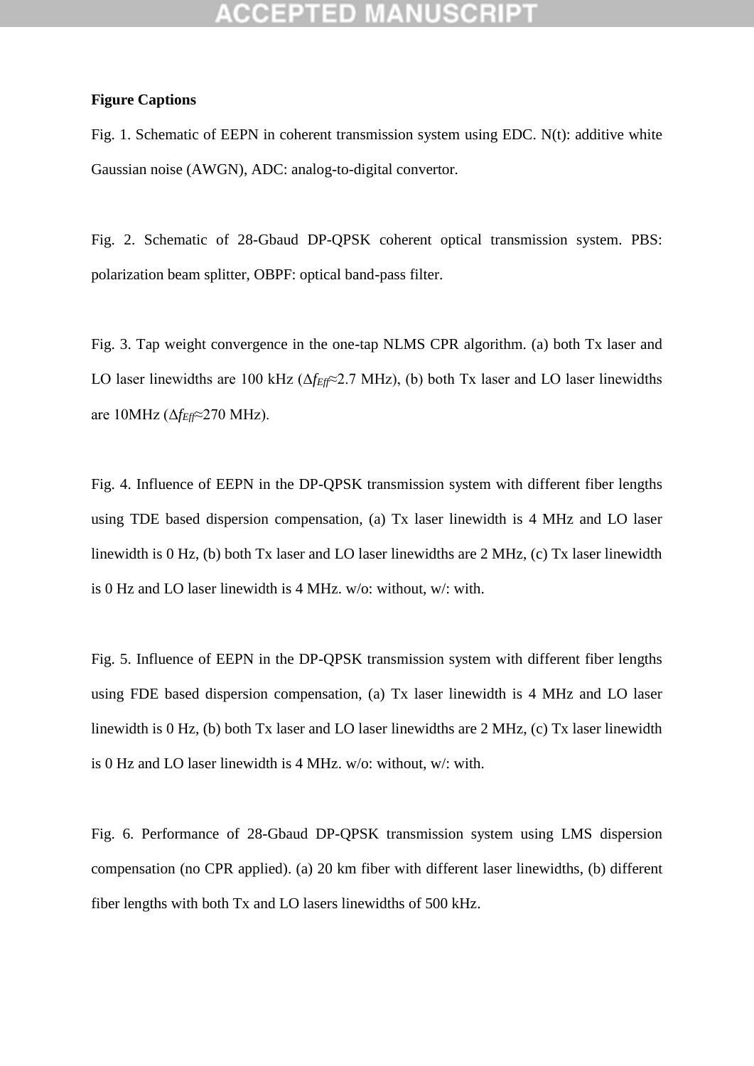### **Figure Captions**

Fig. 1. Schematic of EEPN in coherent transmission system using EDC. N(t): additive white Gaussian noise (AWGN), ADC: analog-to-digital convertor.

Fig. 2. Schematic of 28-Gbaud DP-QPSK coherent optical transmission system. PBS: polarization beam splitter, OBPF: optical band-pass filter.

Fig. 3. Tap weight convergence in the one-tap NLMS CPR algorithm. (a) both Tx laser and LO laser linewidths are 100 kHz (Δ*fEff*≈2.7 MHz), (b) both Tx laser and LO laser linewidths are 10MHz (Δ*fEff*≈270 MHz).

Fig. 4. Influence of EEPN in the DP-QPSK transmission system with different fiber lengths using TDE based dispersion compensation, (a) Tx laser linewidth is 4 MHz and LO laser linewidth is 0 Hz, (b) both Tx laser and LO laser linewidths are 2 MHz, (c) Tx laser linewidth is 0 Hz and LO laser linewidth is 4 MHz. w/o: without, w/: with.

Fig. 5. Influence of EEPN in the DP-QPSK transmission system with different fiber lengths using FDE based dispersion compensation, (a) Tx laser linewidth is 4 MHz and LO laser linewidth is 0 Hz, (b) both Tx laser and LO laser linewidths are 2 MHz, (c) Tx laser linewidth is 0 Hz and LO laser linewidth is 4 MHz. w/o: without, w/: with.

Fig. 6. Performance of 28-Gbaud DP-QPSK transmission system using LMS dispersion compensation (no CPR applied). (a) 20 km fiber with different laser linewidths, (b) different fiber lengths with both Tx and LO lasers linewidths of 500 kHz.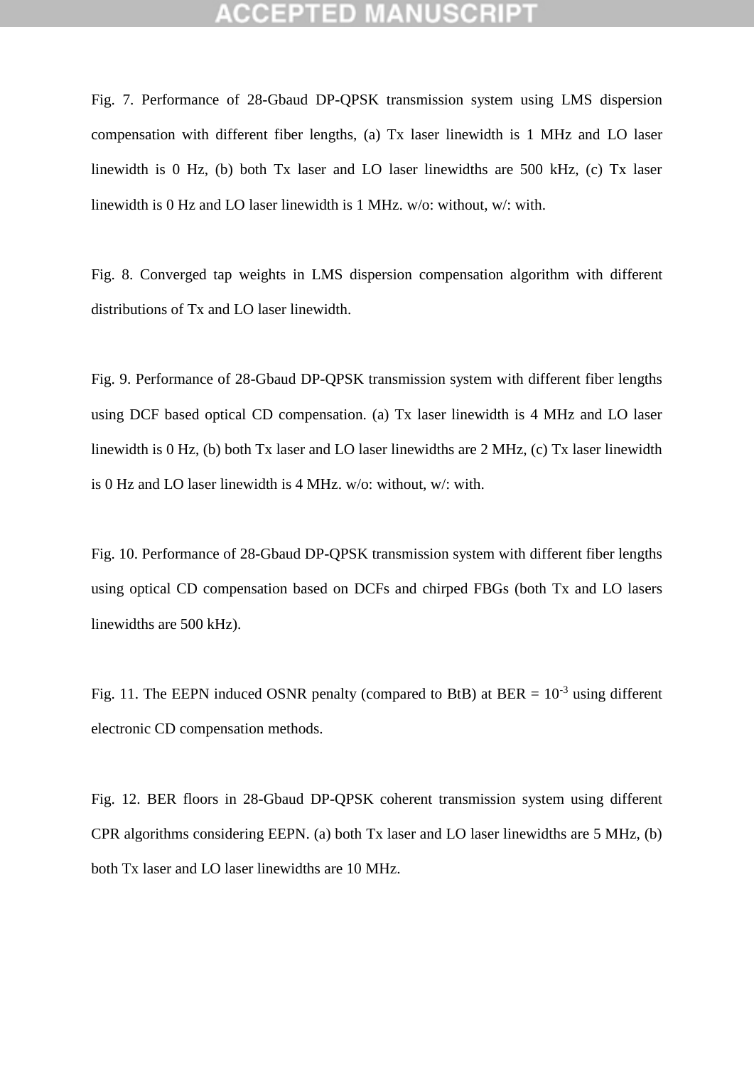Fig. 7. Performance of 28-Gbaud DP-QPSK transmission system using LMS dispersion compensation with different fiber lengths, (a) Tx laser linewidth is 1 MHz and LO laser linewidth is 0 Hz, (b) both Tx laser and LO laser linewidths are 500 kHz, (c) Tx laser linewidth is 0 Hz and LO laser linewidth is 1 MHz. w/o: without, w/: with.

Fig. 8. Converged tap weights in LMS dispersion compensation algorithm with different distributions of Tx and LO laser linewidth.

Fig. 9. Performance of 28-Gbaud DP-QPSK transmission system with different fiber lengths using DCF based optical CD compensation. (a) Tx laser linewidth is 4 MHz and LO laser linewidth is 0 Hz, (b) both Tx laser and LO laser linewidths are 2 MHz, (c) Tx laser linewidth is 0 Hz and LO laser linewidth is 4 MHz. w/o: without, w/: with.

Fig. 10. Performance of 28-Gbaud DP-QPSK transmission system with different fiber lengths using optical CD compensation based on DCFs and chirped FBGs (both Tx and LO lasers linewidths are 500 kHz).

Fig. 11. The EEPN induced OSNR penalty (compared to BtB) at BER =  $10^{-3}$  using different electronic CD compensation methods.

Fig. 12. BER floors in 28-Gbaud DP-QPSK coherent transmission system using different CPR algorithms considering EEPN. (a) both Tx laser and LO laser linewidths are 5 MHz, (b) both Tx laser and LO laser linewidths are 10 MHz.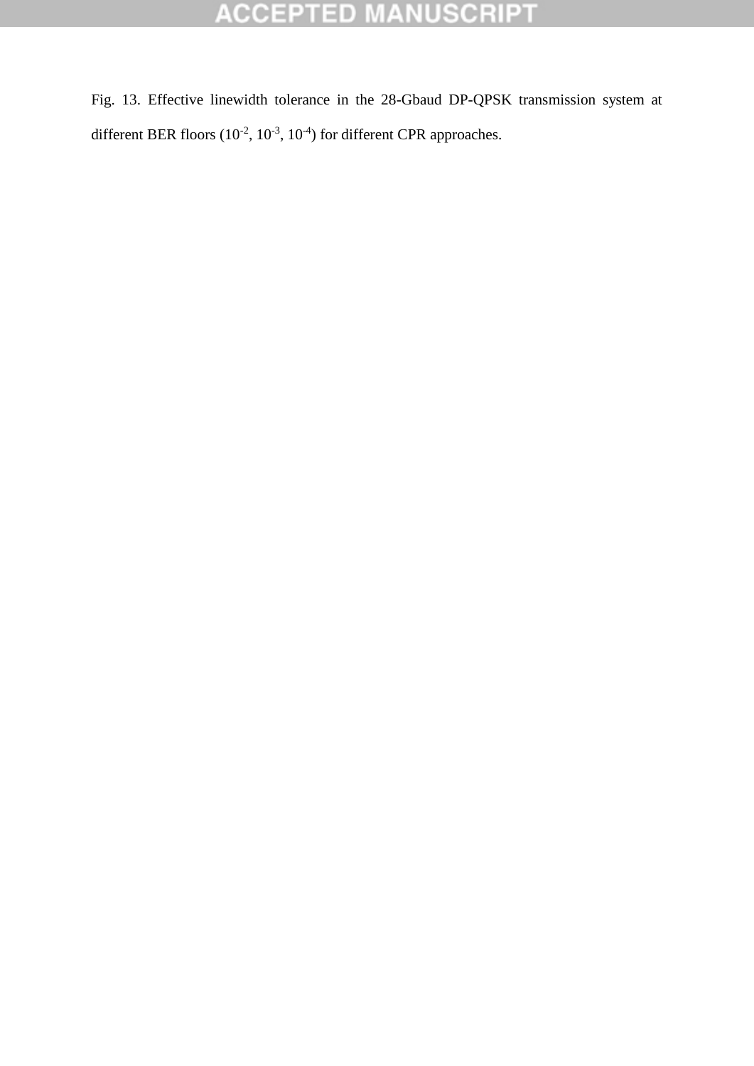# **ACCEPTED MANUSCRIPT**

Fig. 13. Effective linewidth tolerance in the 28-Gbaud DP-QPSK transmission system at different BER floors  $(10^{-2}, 10^{-3}, 10^{-4})$  for different CPR approaches.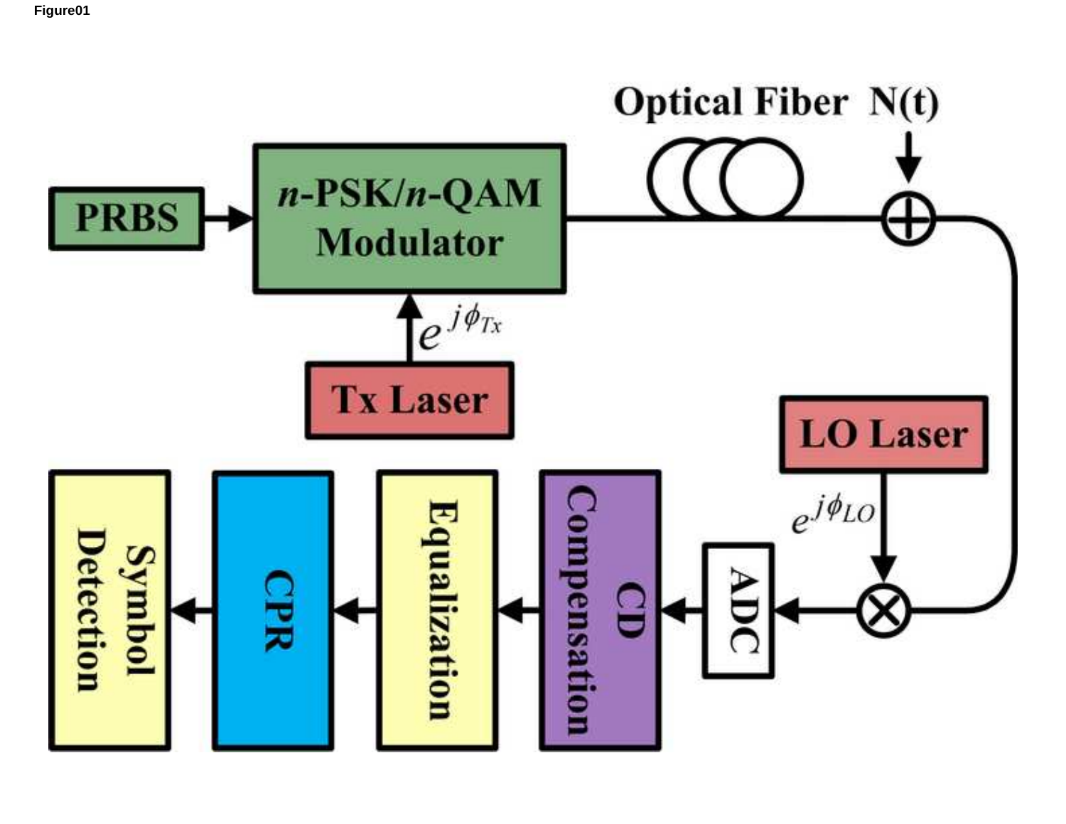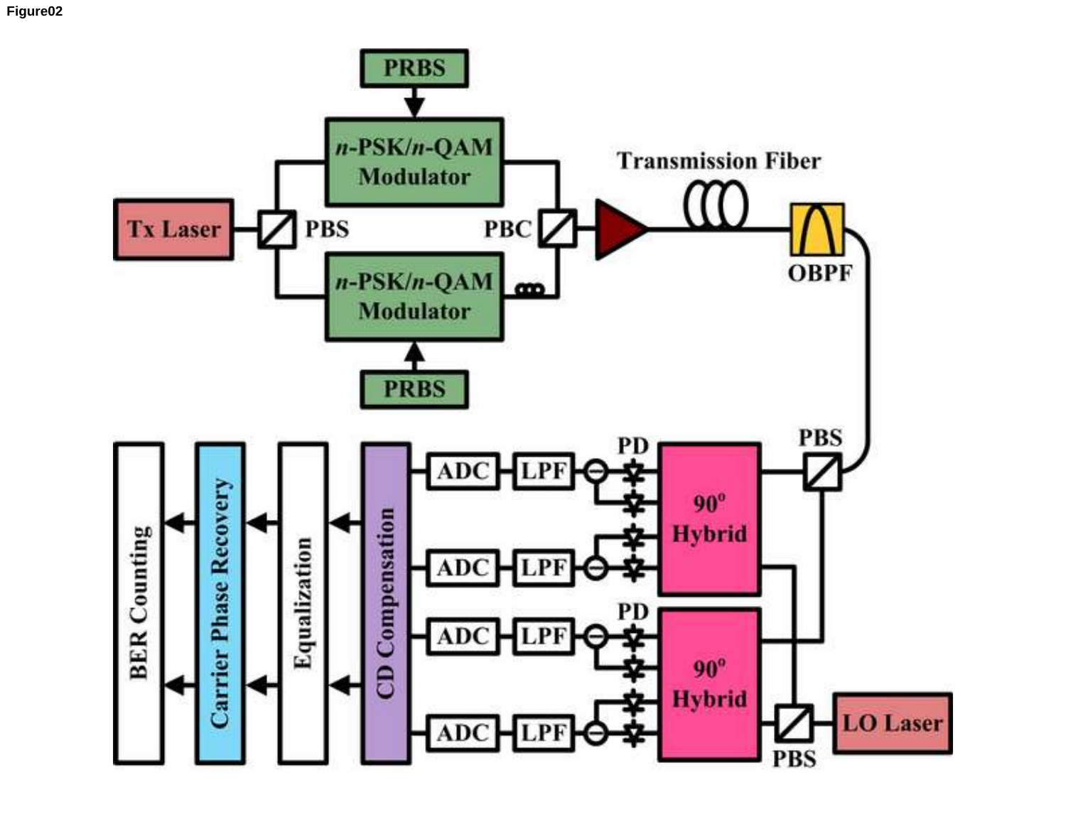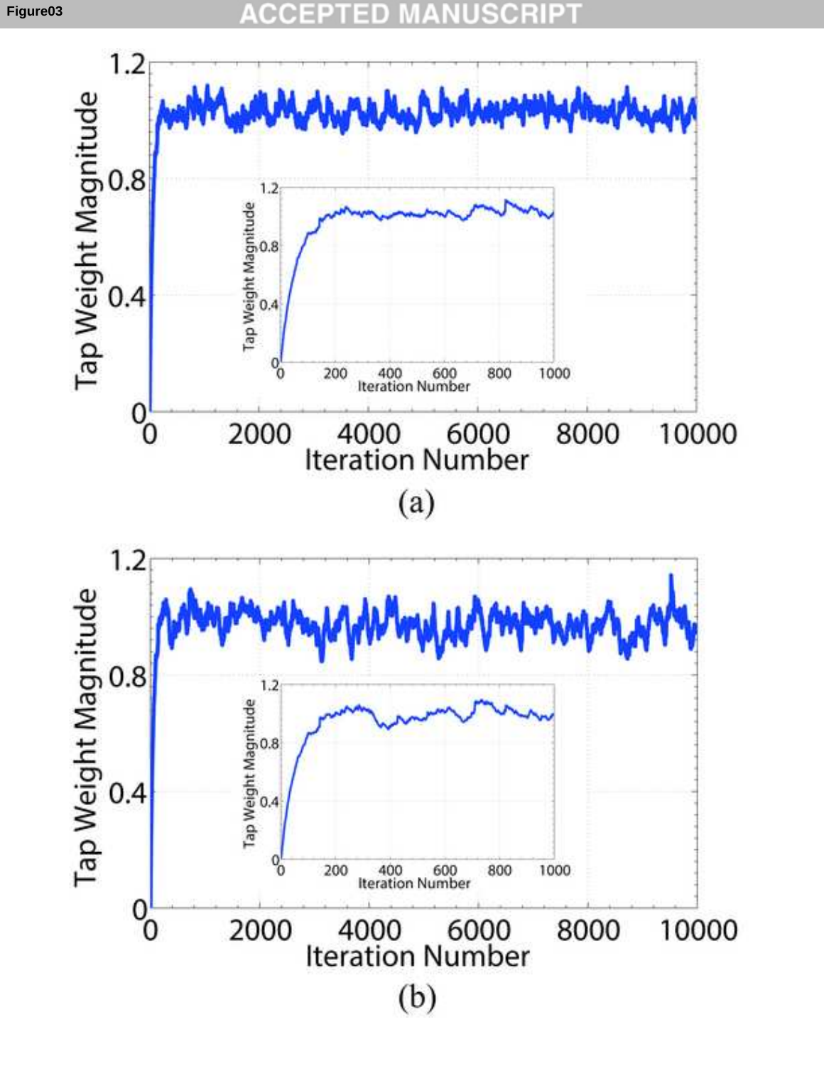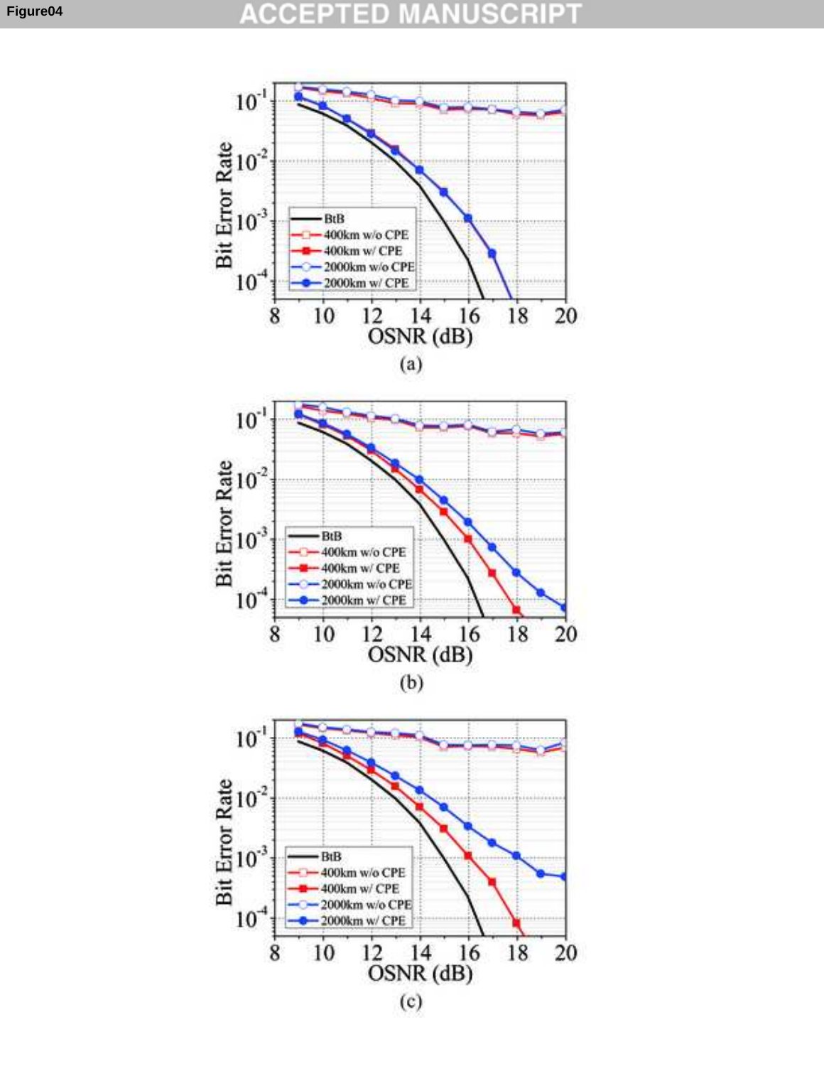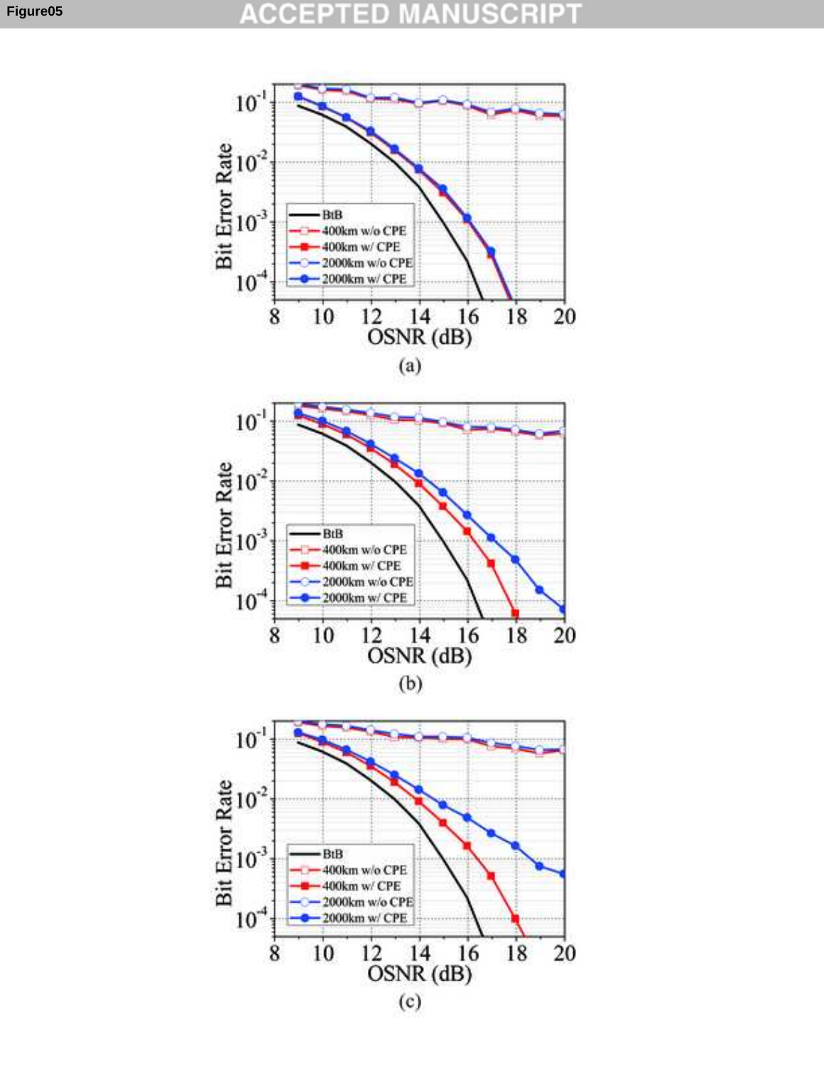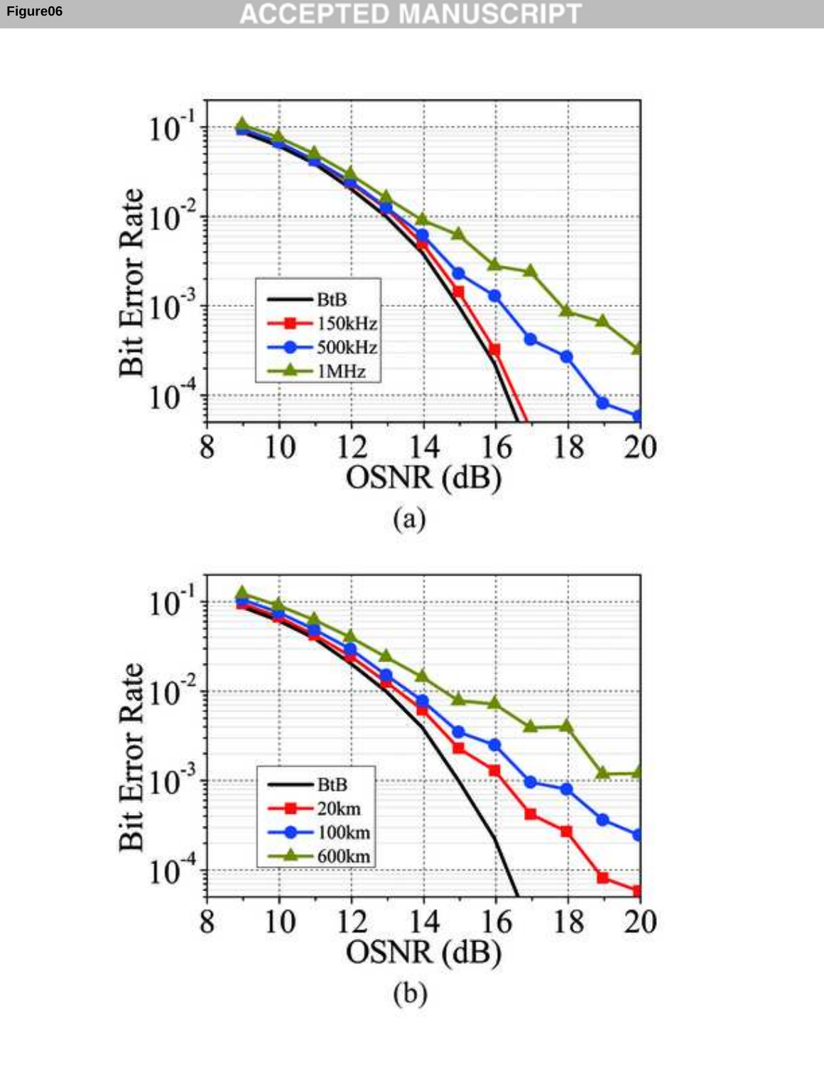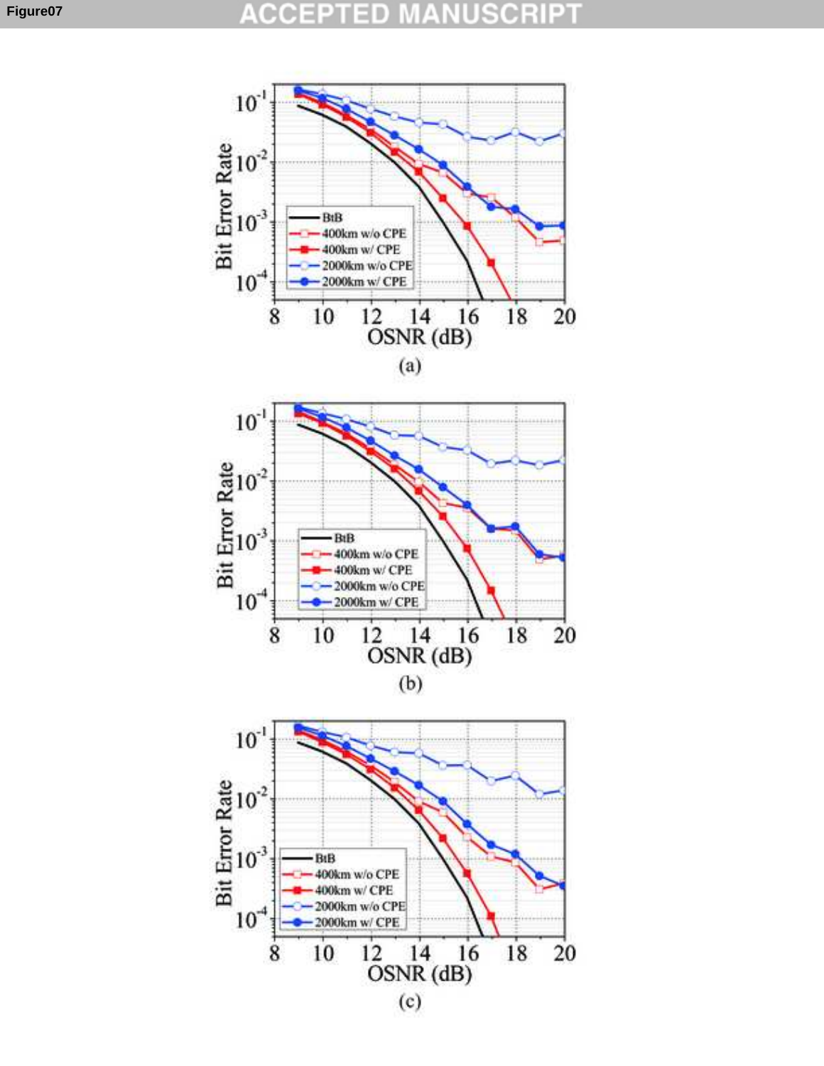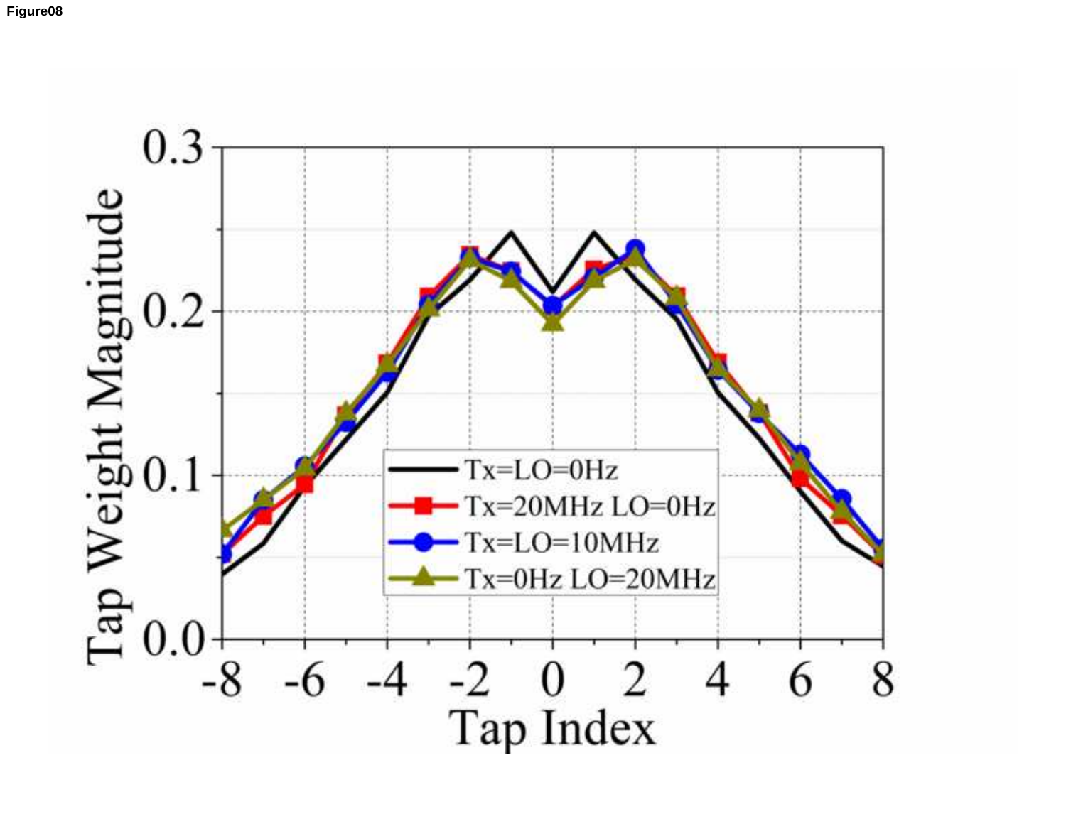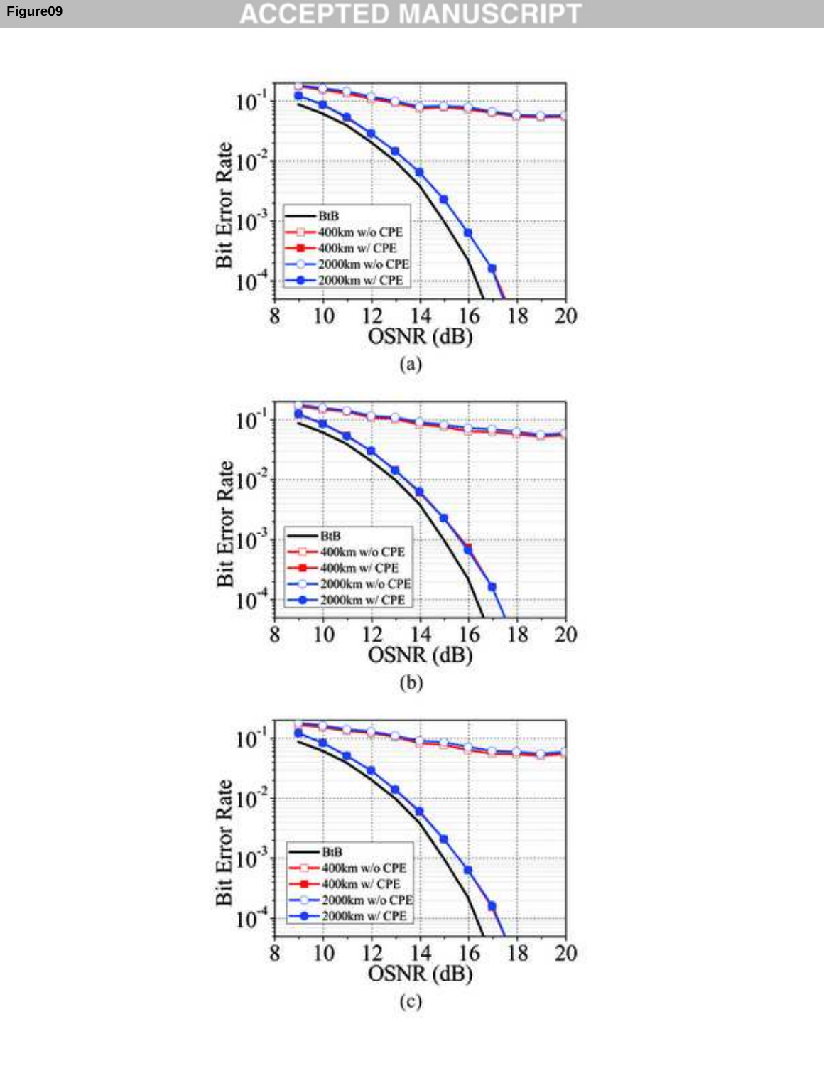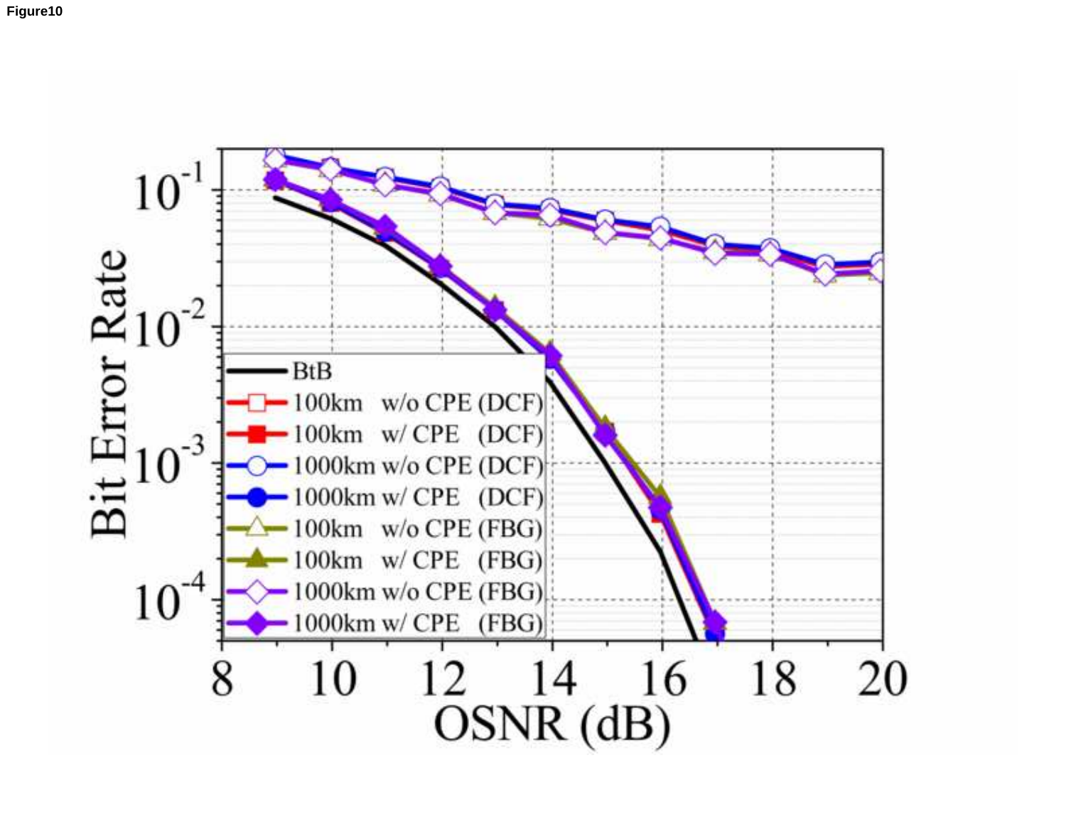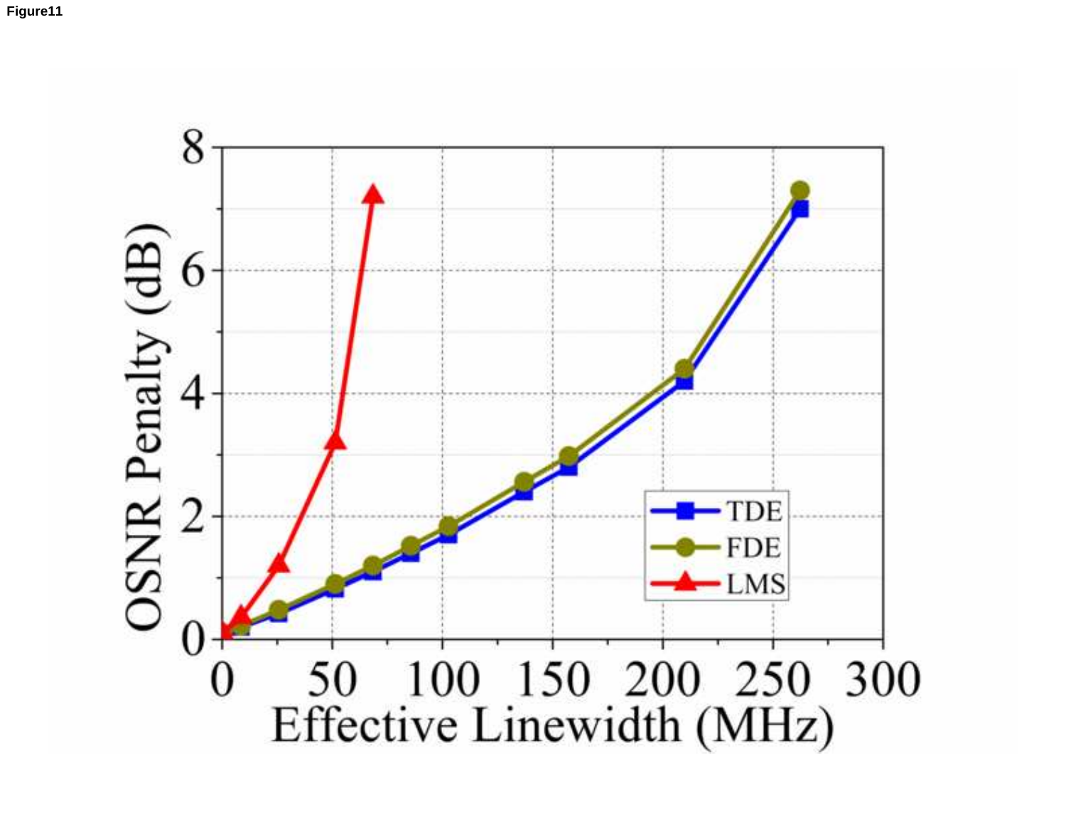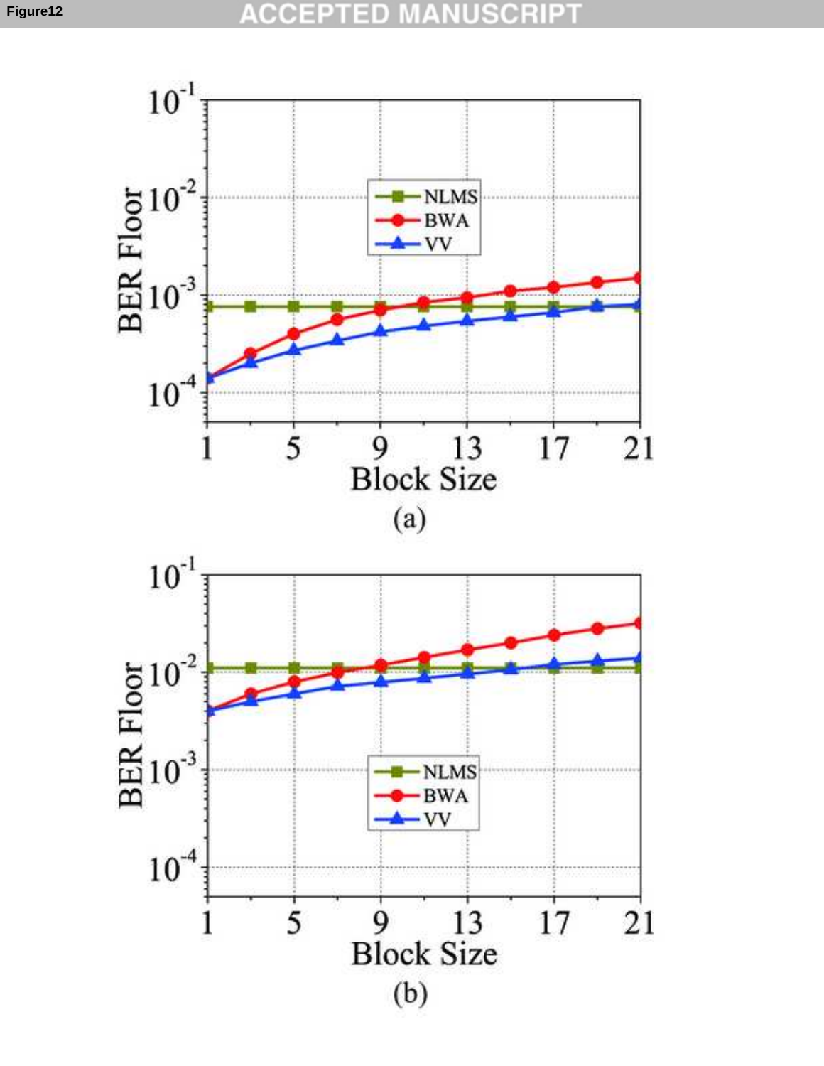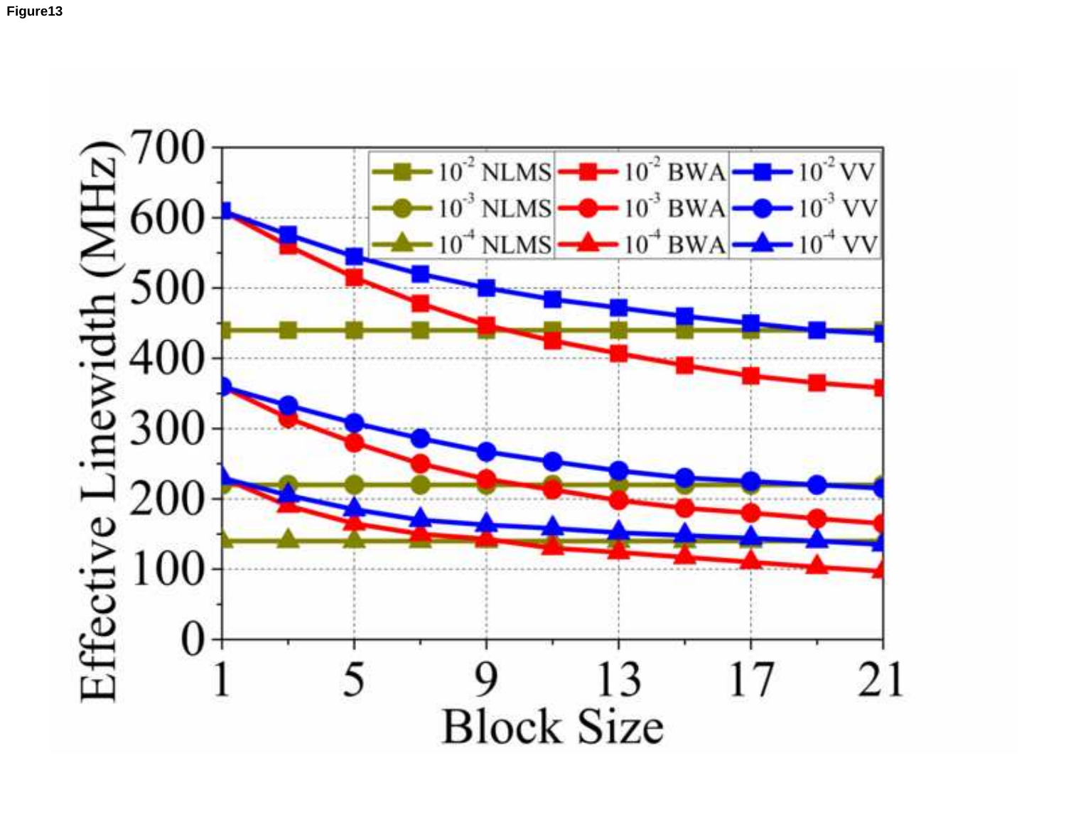